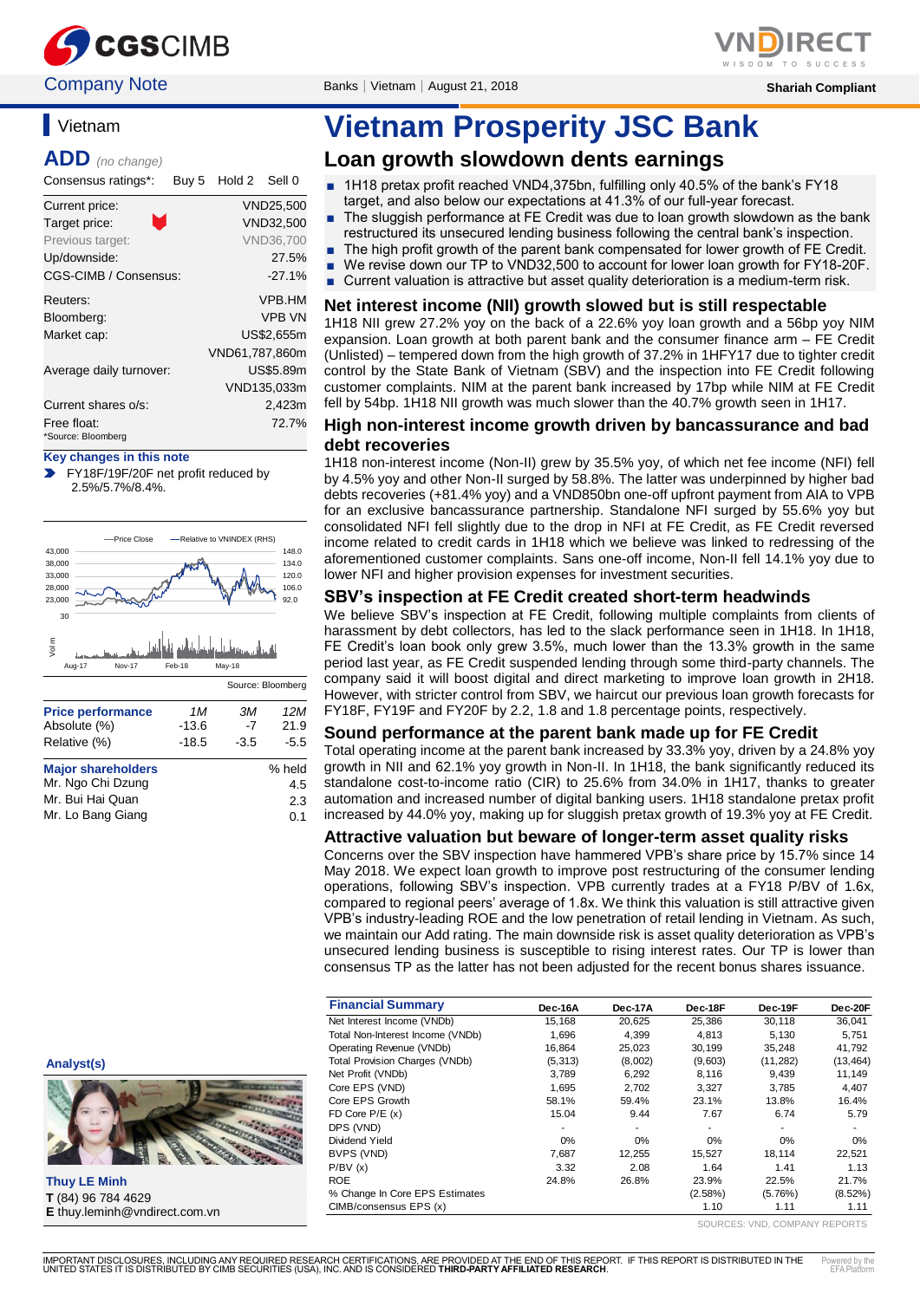

# **Vietnam**

**ADD** *(no change)*

Consensus ratings\*: Buy 5 Hold 2 Sell 0

| Current price:          | <b>VND25,500</b> |
|-------------------------|------------------|
| M<br>Target price:      | VND32,500        |
| Previous target:        | <b>VND36,700</b> |
| Up/downside:            | 27.5%            |
| CGS-CIMB / Consensus:   | $-27.1%$         |
| Reuters:                | <b>VPB.HM</b>    |
| Bloomberg:              | <b>VPB VN</b>    |
| Market cap:             | US\$2,655m       |
|                         | VND61.787.860m   |
| Average daily turnover: | US\$5.89m        |
|                         | VND135,033m      |
| Current shares o/s:     | 2,423m           |
| Free float:             | 72.7%            |
| *Source: Bloomberg      |                  |

**Key changes in this note**

FY18F/19F/20F net profit reduced by 2.5%/5.7%/8.4%.



| % held |
|--------|
| 4.5    |
| 2.3    |
| 0.1    |
|        |

# **Vietnam Prosperity JSC Bank**

# **Loan growth slowdown dents earnings**

- 1H18 pretax profit reached VND4,375bn, fulfilling only 40.5% of the bank's FY18 target, and also below our expectations at 41.3% of our full-year forecast.
- The sluggish performance at FE Credit was due to loan growth slowdown as the bank restructured its unsecured lending business following the central bank's inspection.
- The high profit growth of the parent bank compensated for lower growth of FE Credit.
- We revise down our TP to VND32,500 to account for lower loan growth for FY18-20F.
- Current valuation is attractive but asset quality deterioration is a medium-term risk.

#### **Net interest income (NII) growth slowed but is still respectable**

1H18 NII grew 27.2% yoy on the back of a 22.6% yoy loan growth and a 56bp yoy NIM expansion. Loan growth at both parent bank and the consumer finance arm – FE Credit (Unlisted) – tempered down from the high growth of 37.2% in 1HFY17 due to tighter credit control by the State Bank of Vietnam (SBV) and the inspection into FE Credit following customer complaints. NIM at the parent bank increased by 17bp while NIM at FE Credit fell by 54bp. 1H18 NII growth was much slower than the 40.7% growth seen in 1H17.

#### **High non-interest income growth driven by bancassurance and bad debt recoveries**

1H18 non-interest income (Non-II) grew by 35.5% yoy, of which net fee income (NFI) fell by 4.5% yoy and other Non-II surged by 58.8%. The latter was underpinned by higher bad debts recoveries (+81.4% yoy) and a VND850bn one-off upfront payment from AIA to VPB for an exclusive bancassurance partnership. Standalone NFI surged by 55.6% yoy but consolidated NFI fell slightly due to the drop in NFI at FE Credit, as FE Credit reversed income related to credit cards in 1H18 which we believe was linked to redressing of the aforementioned customer complaints. Sans one-off income, Non-II fell 14.1% yoy due to lower NFI and higher provision expenses for investment securities.

#### **SBV's inspection at FE Credit created short-term headwinds**

We believe SBV's inspection at FE Credit, following multiple complaints from clients of harassment by debt collectors, has led to the slack performance seen in 1H18. In 1H18, FE Credit's loan book only grew 3.5%, much lower than the 13.3% growth in the same period last year, as FE Credit suspended lending through some third-party channels. The company said it will boost digital and direct marketing to improve loan growth in 2H18. However, with stricter control from SBV, we haircut our previous loan growth forecasts for FY18F, FY19F and FY20F by 2.2, 1.8 and 1.8 percentage points, respectively.

#### **Sound performance at the parent bank made up for FE Credit**

Total operating income at the parent bank increased by 33.3% yoy, driven by a 24.8% yoy growth in NII and 62.1% yoy growth in Non-II. In 1H18, the bank significantly reduced its standalone cost-to-income ratio (CIR) to 25.6% from 34.0% in 1H17, thanks to greater automation and increased number of digital banking users. 1H18 standalone pretax profit increased by 44.0% yoy, making up for sluggish pretax growth of 19.3% yoy at FE Credit.

#### **Attractive valuation but beware of longer-term asset quality risks**

Concerns over the SBV inspection have hammered VPB's share price by 15.7% since 14 May 2018. We expect loan growth to improve post restructuring of the consumer lending operations, following SBV's inspection. VPB currently trades at a FY18 P/BV of 1.6x, compared to regional peers' average of 1.8x. We think this valuation is still attractive given VPB's industry-leading ROE and the low penetration of retail lending in Vietnam. As such, we maintain our Add rating. The main downside risk is asset quality deterioration as VPB's unsecured lending business is susceptible to rising interest rates. Our TP is lower than consensus TP as the latter has not been adjusted for the recent bonus shares issuance.

| <b>Financial Summary</b>              | Dec-16A  | Dec-17A | Dec-18F | Dec-19F   | Dec-20F    |
|---------------------------------------|----------|---------|---------|-----------|------------|
| Net Interest Income (VNDb)            | 15.168   | 20,625  | 25,386  | 30,118    | 36,041     |
| Total Non-Interest Income (VNDb)      | 1.696    | 4.399   | 4.813   | 5.130     | 5,751      |
| Operating Revenue (VNDb)              | 16,864   | 25,023  | 30,199  | 35,248    | 41,792     |
| <b>Total Provision Charges (VNDb)</b> | (5, 313) | (8,002) | (9,603) | (11, 282) | (13, 464)  |
| Net Profit (VNDb)                     | 3,789    | 6,292   | 8,116   | 9.439     | 11,149     |
| Core EPS (VND)                        | 1.695    | 2.702   | 3.327   | 3.785     | 4,407      |
| Core EPS Growth                       | 58.1%    | 59.4%   | 23.1%   | 13.8%     | 16.4%      |
| FD Core $P/E(x)$                      | 15.04    | 9.44    | 7.67    | 6.74      | 5.79       |
| DPS (VND)                             |          |         | ٠       | ٠         |            |
| Dividend Yield                        | 0%       | 0%      | $0\%$   | 0%        | 0%         |
| BVPS (VND)                            | 7,687    | 12,255  | 15,527  | 18,114    | 22,521     |
| P/BV(x)                               | 3.32     | 2.08    | 1.64    | 1.41      | 1.13       |
| <b>ROE</b>                            | 24.8%    | 26.8%   | 23.9%   | 22.5%     | 21.7%      |
| % Change In Core EPS Estimates        |          |         | (2.58%) | (5.76%)   | $(8.52\%)$ |
| CIMB/consensus EPS (x)                |          |         | 1.10    | 1.11      | 1.11       |

SOURCES: VND, COMPANY REPORTS

**Analyst(s)**



**Thuy LE Minh T** (84) 96 784 4629 **E** thuy.leminh@vndirect.com.vn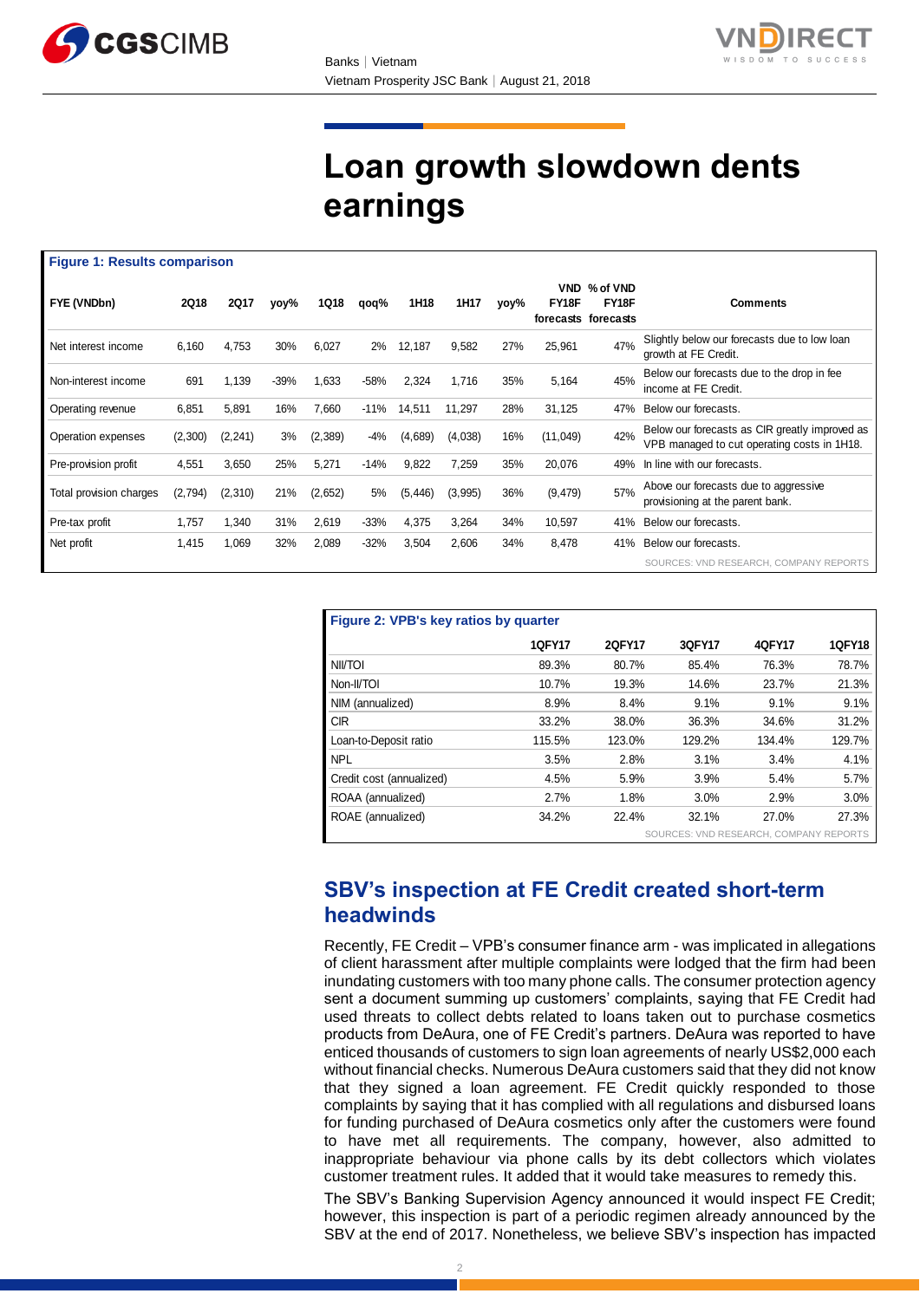



# **Loan growth slowdown dents earnings**

|                         | <b>Figure 1: Results comparison</b> |             |        |             |        |          |         |      |                     |                                          |                                                                                               |
|-------------------------|-------------------------------------|-------------|--------|-------------|--------|----------|---------|------|---------------------|------------------------------------------|-----------------------------------------------------------------------------------------------|
| FYE (VNDbn)             | <b>2Q18</b>                         | <b>2Q17</b> | yoy%   | <b>1Q18</b> | qoq%   | 1H18     | 1H17    | yoy% | <b>VND</b><br>FY18F | % of VND<br>FY18F<br>forecasts forecasts | <b>Comments</b>                                                                               |
| Net interest income     | 6,160                               | 4,753       | 30%    | 6,027       | 2%     | 12,187   | 9,582   | 27%  | 25,961              | 47%                                      | Slightly below our forecasts due to low loan<br>growth at FE Credit.                          |
| Non-interest income     | 691                                 | 1,139       | $-39%$ | 1,633       | $-58%$ | 2,324    | 1,716   | 35%  | 5,164               | 45%                                      | Below our forecasts due to the drop in fee<br>income at FE Credit.                            |
| Operating revenue       | 6,851                               | 5,891       | 16%    | 7,660       | -11%   | 14,511   | 11,297  | 28%  | 31,125              | 47%                                      | Below our forecasts.                                                                          |
| Operation expenses      | (2,300)                             | (2, 241)    | 3%     | (2,389)     | -4%    | (4,689)  | (4,038) | 16%  | (11,049)            | 42%                                      | Below our forecasts as CIR greatly improved as<br>VPB managed to cut operating costs in 1H18. |
| Pre-provision profit    | 4,551                               | 3,650       | 25%    | 5,271       | $-14%$ | 9,822    | 7,259   | 35%  | 20,076              | 49%                                      | In line with our forecasts.                                                                   |
| Total provision charges | (2,794)                             | (2, 310)    | 21%    | (2,652)     | 5%     | (5, 446) | (3,995) | 36%  | (9, 479)            | 57%                                      | Above our forecasts due to aggressive<br>provisioning at the parent bank.                     |
| Pre-tax profit          | 1,757                               | 1,340       | 31%    | 2,619       | $-33%$ | 4,375    | 3,264   | 34%  | 10,597              | 41%                                      | Below our forecasts.                                                                          |
| Net profit              | 1,415                               | 1,069       | 32%    | 2,089       | $-32%$ | 3,504    | 2,606   | 34%  | 8,478               | 41%                                      | Below our forecasts.                                                                          |
|                         |                                     |             |        |             |        |          |         |      |                     |                                          | SOURCES: VND RESEARCH, COMPANY REPORTS                                                        |

| Figure 2: VPB's key ratios by quarter  |               |        |        |        |               |  |  |  |  |
|----------------------------------------|---------------|--------|--------|--------|---------------|--|--|--|--|
|                                        | <b>1QFY17</b> | 2QFY17 | 3QFY17 | 4QFY17 | <b>1QFY18</b> |  |  |  |  |
| NII/TOI                                | 89.3%         | 80.7%  | 85.4%  | 76.3%  | 78.7%         |  |  |  |  |
| Non-II/TOI                             | 10.7%         | 19.3%  | 14.6%  | 23.7%  | 21.3%         |  |  |  |  |
| NIM (annualized)                       | 8.9%          | 8.4%   | 9.1%   | 9.1%   | 9.1%          |  |  |  |  |
| <b>CIR</b>                             | 33.2%         | 38.0%  | 36.3%  | 34.6%  | 31.2%         |  |  |  |  |
| Loan-to-Deposit ratio                  | 115.5%        | 123.0% | 129.2% | 134.4% | 129.7%        |  |  |  |  |
| <b>NPL</b>                             | 3.5%          | 2.8%   | 3.1%   | 3.4%   | 4.1%          |  |  |  |  |
| Credit cost (annualized)               | 4.5%          | 5.9%   | 3.9%   | 5.4%   | 5.7%          |  |  |  |  |
| ROAA (annualized)                      | 2.7%          | 1.8%   | 3.0%   | 2.9%   | 3.0%          |  |  |  |  |
| ROAE (annualized)                      | 34.2%         | 22.4%  | 32.1%  | 27.0%  | 27.3%         |  |  |  |  |
| SOURCES: VND RESEARCH, COMPANY REPORTS |               |        |        |        |               |  |  |  |  |

# **SBV's inspection at FE Credit created short-term headwinds**

Recently, FE Credit – VPB's consumer finance arm - was implicated in allegations of client harassment after multiple complaints were lodged that the firm had been inundating customers with too many phone calls. The consumer protection agency sent a document summing up customers' complaints, saying that FE Credit had used threats to collect debts related to loans taken out to purchase cosmetics products from DeAura, one of FE Credit's partners. DeAura was reported to have enticed thousands of customers to sign loan agreements of nearly US\$2,000 each without financial checks. Numerous DeAura customers said that they did not know that they signed a loan agreement. FE Credit quickly responded to those complaints by saying that it has complied with all regulations and disbursed loans for funding purchased of DeAura cosmetics only after the customers were found to have met all requirements. The company, however, also admitted to inappropriate behaviour via phone calls by its debt collectors which violates customer treatment rules. It added that it would take measures to remedy this.

The SBV's Banking Supervision Agency announced it would inspect FE Credit; however, this inspection is part of a periodic regimen already announced by the SBV at the end of 2017. Nonetheless, we believe SBV's inspection has impacted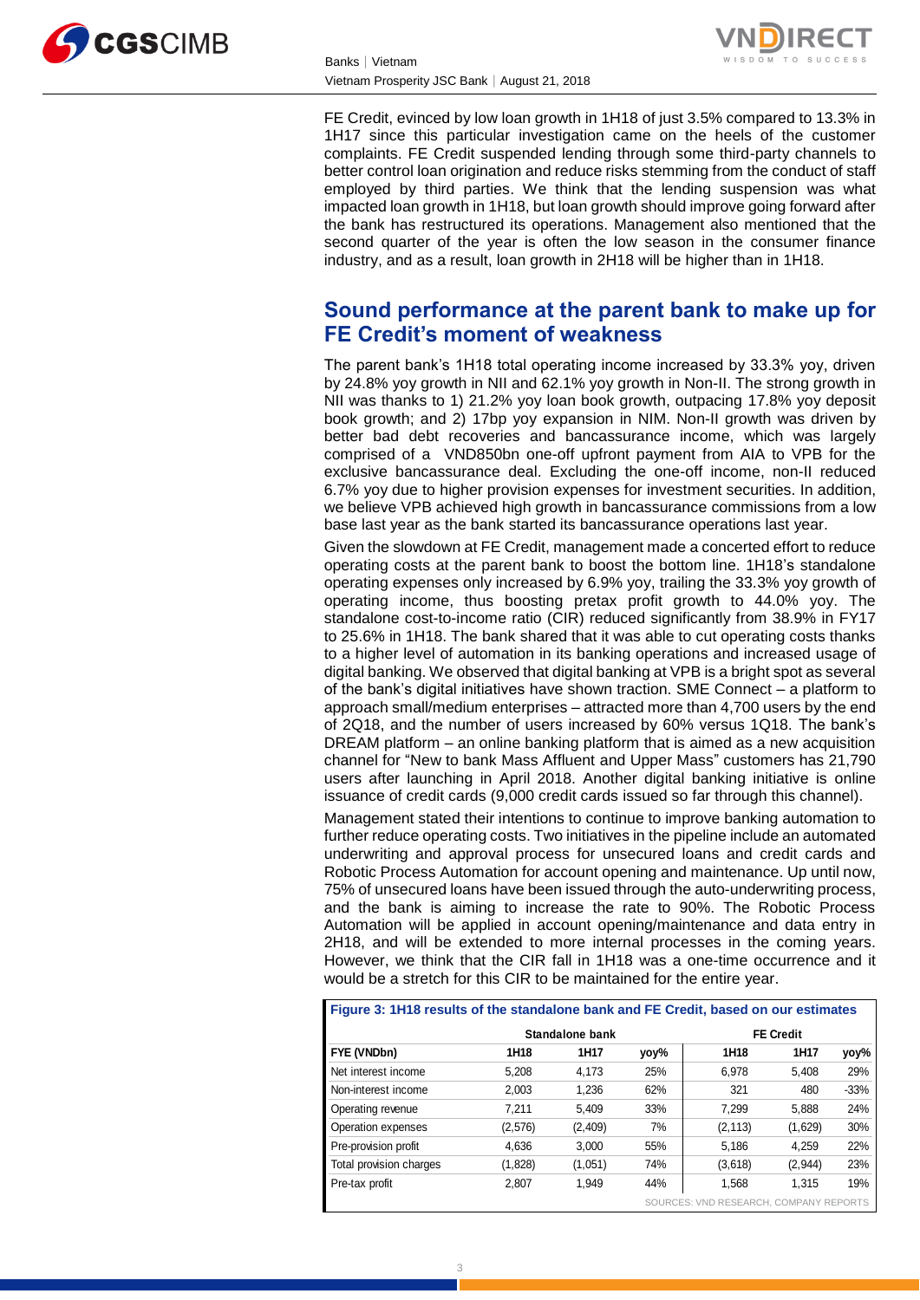



FE Credit, evinced by low loan growth in 1H18 of just 3.5% compared to 13.3% in 1H17 since this particular investigation came on the heels of the customer complaints. FE Credit suspended lending through some third-party channels to better control loan origination and reduce risks stemming from the conduct of staff employed by third parties. We think that the lending suspension was what impacted loan growth in 1H18, but loan growth should improve going forward after the bank has restructured its operations. Management also mentioned that the second quarter of the year is often the low season in the consumer finance industry, and as a result, loan growth in 2H18 will be higher than in 1H18.

# **Sound performance at the parent bank to make up for FE Credit's moment of weakness**

The parent bank's 1H18 total operating income increased by 33.3% yoy, driven by 24.8% yoy growth in NII and 62.1% yoy growth in Non-II. The strong growth in NII was thanks to 1) 21.2% yoy loan book growth, outpacing 17.8% yoy deposit book growth; and 2) 17bp yoy expansion in NIM. Non-II growth was driven by better bad debt recoveries and bancassurance income, which was largely comprised of a VND850bn one-off upfront payment from AIA to VPB for the exclusive bancassurance deal. Excluding the one-off income, non-II reduced 6.7% yoy due to higher provision expenses for investment securities. In addition, we believe VPB achieved high growth in bancassurance commissions from a low base last year as the bank started its bancassurance operations last year.

Given the slowdown at FE Credit, management made a concerted effort to reduce operating costs at the parent bank to boost the bottom line. 1H18's standalone operating expenses only increased by 6.9% yoy, trailing the 33.3% yoy growth of operating income, thus boosting pretax profit growth to 44.0% yoy. The standalone cost-to-income ratio (CIR) reduced significantly from 38.9% in FY17 to 25.6% in 1H18. The bank shared that it was able to cut operating costs thanks to a higher level of automation in its banking operations and increased usage of digital banking. We observed that digital banking at VPB is a bright spot as several of the bank's digital initiatives have shown traction. SME Connect – a platform to approach small/medium enterprises – attracted more than 4,700 users by the end of 2Q18, and the number of users increased by 60% versus 1Q18. The bank's DREAM platform – an online banking platform that is aimed as a new acquisition channel for "New to bank Mass Affluent and Upper Mass" customers has 21,790 users after launching in April 2018. Another digital banking initiative is online issuance of credit cards (9,000 credit cards issued so far through this channel).

Management stated their intentions to continue to improve banking automation to further reduce operating costs. Two initiatives in the pipeline include an automated underwriting and approval process for unsecured loans and credit cards and Robotic Process Automation for account opening and maintenance. Up until now, 75% of unsecured loans have been issued through the auto-underwriting process, and the bank is aiming to increase the rate to 90%. The Robotic Process Automation will be applied in account opening/maintenance and data entry in 2H18, and will be extended to more internal processes in the coming years. However, we think that the CIR fall in 1H18 was a one-time occurrence and it would be a stretch for this CIR to be maintained for the entire year.

| Figure 3: 1H18 results of the standalone bank and FE Credit, based on our estimates |                                        |         |      |          |         |        |  |  |  |  |
|-------------------------------------------------------------------------------------|----------------------------------------|---------|------|----------|---------|--------|--|--|--|--|
|                                                                                     | Standalone bank                        |         |      |          |         |        |  |  |  |  |
| FYE (VNDbn)                                                                         | 1H18                                   | 1H17    | yoy% | 1H18     | 1H17    | yoy%   |  |  |  |  |
| Net interest income                                                                 | 5.208                                  | 4.173   | 25%  | 6.978    | 5.408   | 29%    |  |  |  |  |
| Non-interest income                                                                 | 2.003                                  | 1.236   | 62%  | 321      | 480     | $-33%$ |  |  |  |  |
| Operating revenue                                                                   | 7.211                                  | 5.409   | 33%  | 7.299    | 5.888   | 24%    |  |  |  |  |
| Operation expenses                                                                  | (2,576)                                | (2,409) | 7%   | (2, 113) | (1,629) | 30%    |  |  |  |  |
| Pre-provision profit                                                                | 4.636                                  | 3.000   | 55%  | 5,186    | 4.259   | 22%    |  |  |  |  |
| Total provision charges                                                             | (1,828)                                | (1,051) | 74%  | (3,618)  | (2,944) | 23%    |  |  |  |  |
| Pre-tax profit                                                                      | 2.807                                  | 1.949   | 44%  | 1.568    | 1.315   | 19%    |  |  |  |  |
|                                                                                     | SOURCES: VND RESEARCH, COMPANY REPORTS |         |      |          |         |        |  |  |  |  |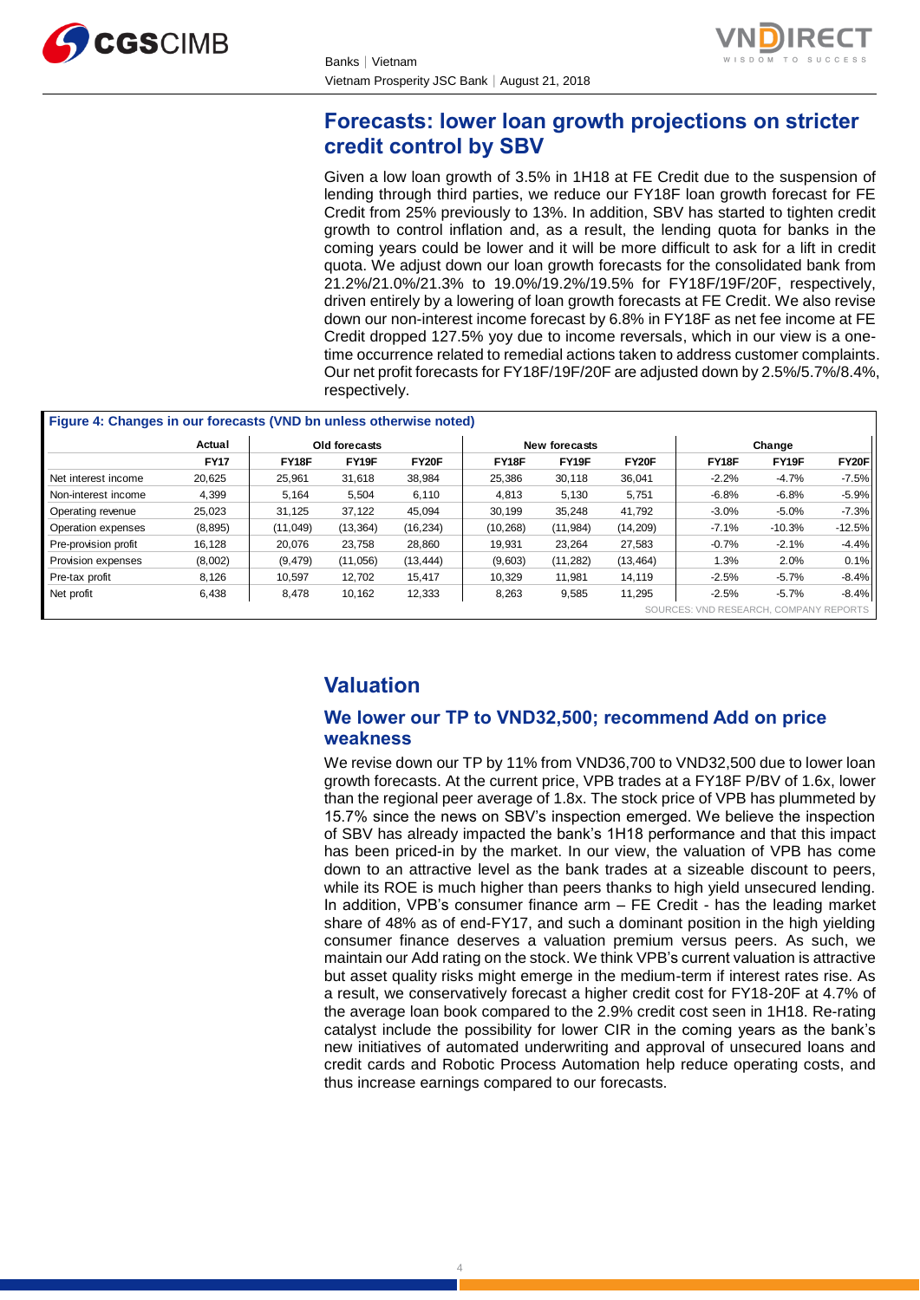



# **Forecasts: lower loan growth projections on stricter credit control by SBV**

Given a low loan growth of 3.5% in 1H18 at FE Credit due to the suspension of lending through third parties, we reduce our FY18F loan growth forecast for FE Credit from 25% previously to 13%. In addition, SBV has started to tighten credit growth to control inflation and, as a result, the lending quota for banks in the coming years could be lower and it will be more difficult to ask for a lift in credit quota. We adjust down our loan growth forecasts for the consolidated bank from 21.2%/21.0%/21.3% to 19.0%/19.2%/19.5% for FY18F/19F/20F, respectively, driven entirely by a lowering of loan growth forecasts at FE Credit. We also revise down our non-interest income forecast by 6.8% in FY18F as net fee income at FE Credit dropped 127.5% yoy due to income reversals, which in our view is a onetime occurrence related to remedial actions taken to address customer complaints. Our net profit forecasts for FY18F/19F/20F are adjusted down by 2.5%/5.7%/8.4%, respectively.

|                      | Actual      | Old forecasts |           |              | New forecasts |           | Change    |         |          |          |
|----------------------|-------------|---------------|-----------|--------------|---------------|-----------|-----------|---------|----------|----------|
|                      | <b>FY17</b> | FY18F         | FY19F     | <b>FY20F</b> | FY18F         | FY19F     | FY20F     | FY18F   | FY19F    | FY20F    |
| Net interest income  | 20,625      | 25,961        | 31,618    | 38,984       | 25,386        | 30,118    | 36,041    | $-2.2%$ | $-4.7%$  | $-7.5%$  |
| Non-interest income  | 4,399       | 5,164         | 5,504     | 6,110        | 4,813         | 5,130     | 5,751     | $-6.8%$ | $-6.8%$  | $-5.9%$  |
| Operating revenue    | 25,023      | 31,125        | 37,122    | 45,094       | 30,199        | 35,248    | 41,792    | $-3.0%$ | $-5.0%$  | $-7.3%$  |
| Operation expenses   | (8,895)     | (11,049)      | (13, 364) | (16, 234)    | (10, 268)     | (11, 984) | (14, 209) | $-7.1%$ | $-10.3%$ | $-12.5%$ |
| Pre-provision profit | 16,128      | 20,076        | 23,758    | 28,860       | 19,931        | 23,264    | 27,583    | $-0.7%$ | $-2.1%$  | $-4.4%$  |
| Provision expenses   | (8,002)     | (9, 479)      | (11,056)  | (13, 444)    | (9,603)       | (11, 282) | (13, 464) | $1.3\%$ | 2.0%     | 0.1%     |
| Pre-tax profit       | 8,126       | 10.597        | 12,702    | 15,417       | 10,329        | 11.981    | 14,119    | $-2.5%$ | $-5.7%$  | $-8.4%$  |
| Net profit           | 6,438       | 8,478         | 10,162    | 12,333       | 8,263         | 9,585     | 11,295    | $-2.5%$ | $-5.7%$  | $-8.4%$  |

# **Valuation**

## **We lower our TP to VND32,500; recommend Add on price weakness**

We revise down our TP by 11% from VND36,700 to VND32,500 due to lower loan growth forecasts. At the current price, VPB trades at a FY18F P/BV of 1.6x, lower than the regional peer average of 1.8x. The stock price of VPB has plummeted by 15.7% since the news on SBV's inspection emerged. We believe the inspection of SBV has already impacted the bank's 1H18 performance and that this impact has been priced-in by the market. In our view, the valuation of VPB has come down to an attractive level as the bank trades at a sizeable discount to peers, while its ROE is much higher than peers thanks to high yield unsecured lending. In addition, VPB's consumer finance arm – FE Credit - has the leading market share of 48% as of end-FY17, and such a dominant position in the high yielding consumer finance deserves a valuation premium versus peers. As such, we maintain our Add rating on the stock. We think VPB's current valuation is attractive but asset quality risks might emerge in the medium-term if interest rates rise. As a result, we conservatively forecast a higher credit cost for FY18-20F at 4.7% of the average loan book compared to the 2.9% credit cost seen in 1H18. Re-rating catalyst include the possibility for lower CIR in the coming years as the bank's new initiatives of automated underwriting and approval of unsecured loans and credit cards and Robotic Process Automation help reduce operating costs, and thus increase earnings compared to our forecasts.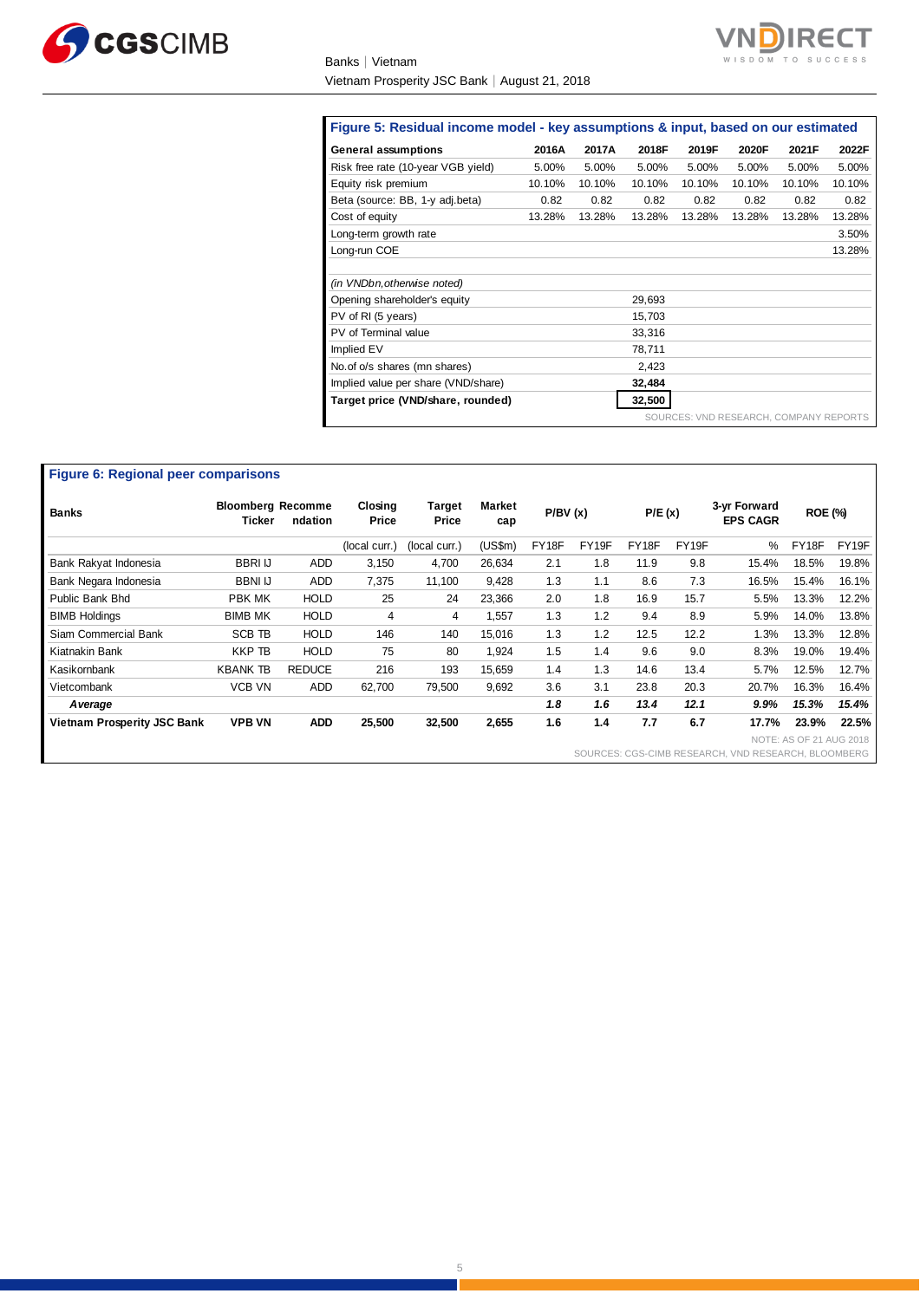

Banks│Vietnam Vietnam Prosperity JSC Bank│August 21, 2018



#### **Figure 5: Residual income model - key assumptions & input, based on our estimated**

| Figure 5: Residual income model - key assumptions & input, based on our estimated |        |        |        |                                        |        |        |        |  |  |  |
|-----------------------------------------------------------------------------------|--------|--------|--------|----------------------------------------|--------|--------|--------|--|--|--|
| General assumptions                                                               | 2016A  | 2017A  | 2018F  | 2019F                                  | 2020F  | 2021F  | 2022F  |  |  |  |
| Risk free rate (10-year VGB yield)                                                | 5.00%  | 5.00%  | 5.00%  | 5.00%                                  | 5.00%  | 5.00%  | 5.00%  |  |  |  |
| Equity risk premium                                                               | 10.10% | 10.10% | 10.10% | 10.10%                                 | 10.10% | 10.10% | 10.10% |  |  |  |
| Beta (source: BB, 1-y adj.beta)                                                   | 0.82   | 0.82   | 0.82   | 0.82                                   | 0.82   | 0.82   | 0.82   |  |  |  |
| Cost of equity                                                                    | 13.28% | 13.28% | 13.28% | 13.28%                                 | 13.28% | 13.28% | 13.28% |  |  |  |
| Long-term growth rate                                                             |        |        |        |                                        |        |        | 3.50%  |  |  |  |
| Long-run COE                                                                      |        |        |        |                                        |        |        | 13.28% |  |  |  |
|                                                                                   |        |        |        |                                        |        |        |        |  |  |  |
| (in VNDbn, otherwise noted)                                                       |        |        |        |                                        |        |        |        |  |  |  |
| Opening shareholder's equity                                                      |        |        | 29,693 |                                        |        |        |        |  |  |  |
| PV of RI (5 years)                                                                |        |        | 15,703 |                                        |        |        |        |  |  |  |
| PV of Terminal value                                                              |        |        | 33,316 |                                        |        |        |        |  |  |  |
| Implied EV                                                                        |        |        | 78,711 |                                        |        |        |        |  |  |  |
| No. of o/s shares (mn shares)                                                     |        |        | 2,423  |                                        |        |        |        |  |  |  |
| Implied value per share (VND/share)                                               |        |        | 32,484 |                                        |        |        |        |  |  |  |
| Target price (VND/share, rounded)                                                 |        |        | 32,500 |                                        |        |        |        |  |  |  |
|                                                                                   |        |        |        | SOURCES: VND RESEARCH, COMPANY REPORTS |        |        |        |  |  |  |

| <b>Figure 6: Regional peer comparisons</b> |                                    |               |                  |                 |                      |         |       |        |       |                                                     |                         |       |
|--------------------------------------------|------------------------------------|---------------|------------------|-----------------|----------------------|---------|-------|--------|-------|-----------------------------------------------------|-------------------------|-------|
| <b>Banks</b>                               | <b>Bloomberg Recomme</b><br>Ticker | ndation       | Closing<br>Price | Target<br>Price | <b>Market</b><br>cap | P/BV(x) |       | P/E(x) |       | 3-yr Forward<br><b>EPS CAGR</b>                     | <b>ROE (%)</b>          |       |
|                                            |                                    |               | (local curr.)    | (local curr.)   | (US\$m)              | FY18F   | FY19F | FY18F  | FY19F | $\%$                                                | FY18F                   | FY19F |
| Bank Rakyat Indonesia                      | <b>BBRI IJ</b>                     | ADD           | 3,150            | 4,700           | 26,634               | 2.1     | 1.8   | 11.9   | 9.8   | 15.4%                                               | 18.5%                   | 19.8% |
| Bank Negara Indonesia                      | <b>BBNI IJ</b>                     | ADD           | 7,375            | 11,100          | 9,428                | 1.3     | 1.1   | 8.6    | 7.3   | 16.5%                                               | 15.4%                   | 16.1% |
| Public Bank Bhd                            | PBK MK                             | <b>HOLD</b>   | 25               | 24              | 23,366               | 2.0     | 1.8   | 16.9   | 15.7  | 5.5%                                                | 13.3%                   | 12.2% |
| <b>BIMB Holdings</b>                       | <b>BIMB MK</b>                     | <b>HOLD</b>   | 4                | 4               | 1,557                | 1.3     | 1.2   | 9.4    | 8.9   | 5.9%                                                | 14.0%                   | 13.8% |
| Siam Commercial Bank                       | <b>SCB TB</b>                      | <b>HOLD</b>   | 146              | 140             | 15,016               | 1.3     | 1.2   | 12.5   | 12.2  | 1.3%                                                | 13.3%                   | 12.8% |
| Kiatnakin Bank                             | <b>KKP TB</b>                      | <b>HOLD</b>   | 75               | 80              | 1,924                | 1.5     | 1.4   | 9.6    | 9.0   | 8.3%                                                | 19.0%                   | 19.4% |
| Kasikornbank                               | <b>KBANK TB</b>                    | <b>REDUCE</b> | 216              | 193             | 15,659               | 1.4     | 1.3   | 14.6   | 13.4  | 5.7%                                                | 12.5%                   | 12.7% |
| Vietcombank                                | <b>VCB VN</b>                      | ADD           | 62,700           | 79,500          | 9,692                | 3.6     | 3.1   | 23.8   | 20.3  | 20.7%                                               | 16.3%                   | 16.4% |
| A verage                                   |                                    |               |                  |                 |                      | 1.8     | 1.6   | 13.4   | 12.1  | 9.9%                                                | 15.3%                   | 15.4% |
| <b>Vietnam Prosperity JSC Bank</b>         | <b>VPB VN</b>                      | <b>ADD</b>    | 25,500           | 32,500          | 2,655                | 1.6     | 1.4   | 7.7    | 6.7   | 17.7%                                               | 23.9%                   | 22.5% |
|                                            |                                    |               |                  |                 |                      |         |       |        |       |                                                     | NOTE: AS OF 21 AUG 2018 |       |
|                                            |                                    |               |                  |                 |                      |         |       |        |       | SOURCES: CGS-CIMB RESEARCH, VND RESEARCH, BLOOMBERG |                         |       |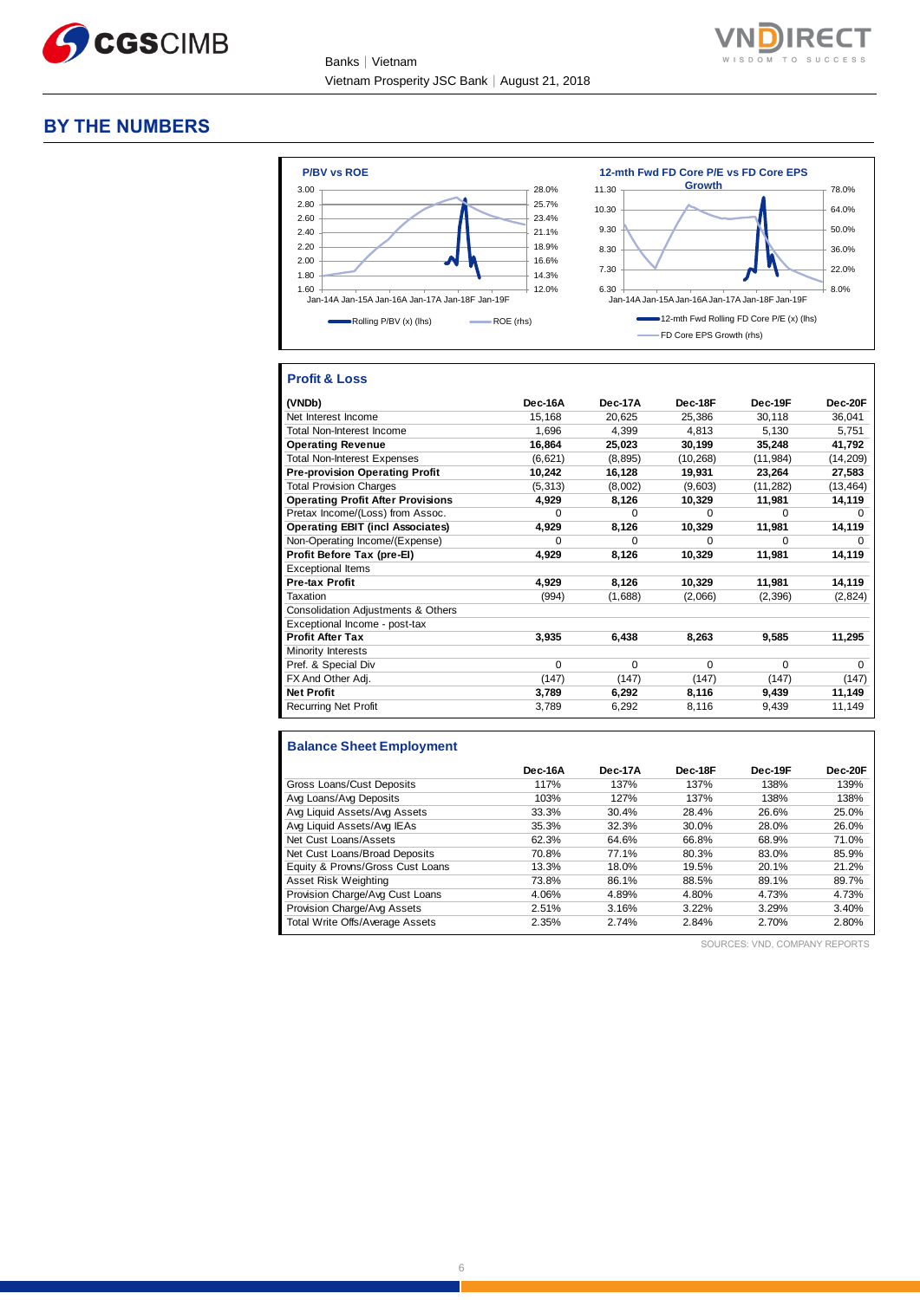

Banks│Vietnam Vietnam Prosperity JSC Bank│August 21, 2018



#### **BY THE NUMBERS**



#### **Profit & Loss**

| (VNDb)                                   | Dec-16A  | Dec-17A  | Dec-18F   | Dec-19F   | Dec-20F      |
|------------------------------------------|----------|----------|-----------|-----------|--------------|
| Net Interest Income                      | 15,168   | 20,625   | 25,386    | 30,118    | 36,041       |
| <b>Total Non-Interest Income</b>         | 1,696    | 4,399    | 4,813     | 5,130     | 5,751        |
| <b>Operating Revenue</b>                 | 16,864   | 25,023   | 30,199    | 35,248    | 41,792       |
| <b>Total Non-Interest Expenses</b>       | (6,621)  | (8, 895) | (10, 268) | (11, 984) | (14, 209)    |
| <b>Pre-provision Operating Profit</b>    | 10,242   | 16,128   | 19,931    | 23,264    | 27,583       |
| <b>Total Provision Charges</b>           | (5, 313) | (8,002)  | (9,603)   | (11, 282) | (13, 464)    |
| <b>Operating Profit After Provisions</b> | 4,929    | 8,126    | 10,329    | 11,981    | 14,119       |
| Pretax Income/(Loss) from Assoc.         | $\Omega$ | $\Omega$ | $\Omega$  | $\Omega$  | $\Omega$     |
| <b>Operating EBIT (incl Associates)</b>  | 4,929    | 8,126    | 10,329    | 11,981    | 14,119       |
| Non-Operating Income/(Expense)           | $\Omega$ | $\Omega$ | $\Omega$  | O         | <sup>0</sup> |
| Profit Before Tax (pre-EI)               | 4,929    | 8,126    | 10,329    | 11,981    | 14,119       |
| <b>Exceptional Items</b>                 |          |          |           |           |              |
| Pre-tax Profit                           | 4,929    | 8,126    | 10,329    | 11,981    | 14,119       |
| Taxation                                 | (994)    | (1,688)  | (2,066)   | (2,396)   | (2,824)      |
| Consolidation Adjustments & Others       |          |          |           |           |              |
| Exceptional Income - post-tax            |          |          |           |           |              |
| <b>Profit After Tax</b>                  | 3,935    | 6,438    | 8,263     | 9,585     | 11,295       |
| Minority Interests                       |          |          |           |           |              |
| Pref. & Special Div                      | $\Omega$ | $\Omega$ | $\Omega$  | O         | $\Omega$     |
| FX And Other Adj.                        | (147)    | (147)    | (147)     | (147)     | (147)        |
| <b>Net Profit</b>                        | 3,789    | 6,292    | 8,116     | 9,439     | 11,149       |
| <b>Recurring Net Profit</b>              | 3,789    | 6,292    | 8,116     | 9,439     | 11,149       |

### **Balance Sheet Employment**

|                                  | Dec-16A | Dec-17A | Dec-18F | Dec-19F | Dec-20F |
|----------------------------------|---------|---------|---------|---------|---------|
| Gross Loans/Cust Deposits        | 117%    | 137%    | 137%    | 138%    | 139%    |
| Avg Loans/Avg Deposits           | 103%    | 127%    | 137%    | 138%    | 138%    |
| Avg Liquid Assets/Avg Assets     | 33.3%   | 30.4%   | 28.4%   | 26.6%   | 25.0%   |
| Avg Liquid Assets/Avg IEAs       | 35.3%   | 32.3%   | 30.0%   | 28.0%   | 26.0%   |
| Net Cust Loans/Assets            | 62.3%   | 64.6%   | 66.8%   | 68.9%   | 71.0%   |
| Net Cust Loans/Broad Deposits    | 70.8%   | 77.1%   | 80.3%   | 83.0%   | 85.9%   |
| Equity & Provns/Gross Cust Loans | 13.3%   | 18.0%   | 19.5%   | 20.1%   | 21.2%   |
| Asset Risk Weighting             | 73.8%   | 86.1%   | 88.5%   | 89.1%   | 89.7%   |
| Provision Charge/Avg Cust Loans  | 4.06%   | 4.89%   | 4.80%   | 4.73%   | 4.73%   |
| Provision Charge/Avg Assets      | 2.51%   | 3.16%   | 3.22%   | 3.29%   | 3.40%   |
| Total Write Offs/Average Assets  | 2.35%   | 2.74%   | 2.84%   | 2.70%   | 2.80%   |

SOURCES: VND, COMPANY REPORTS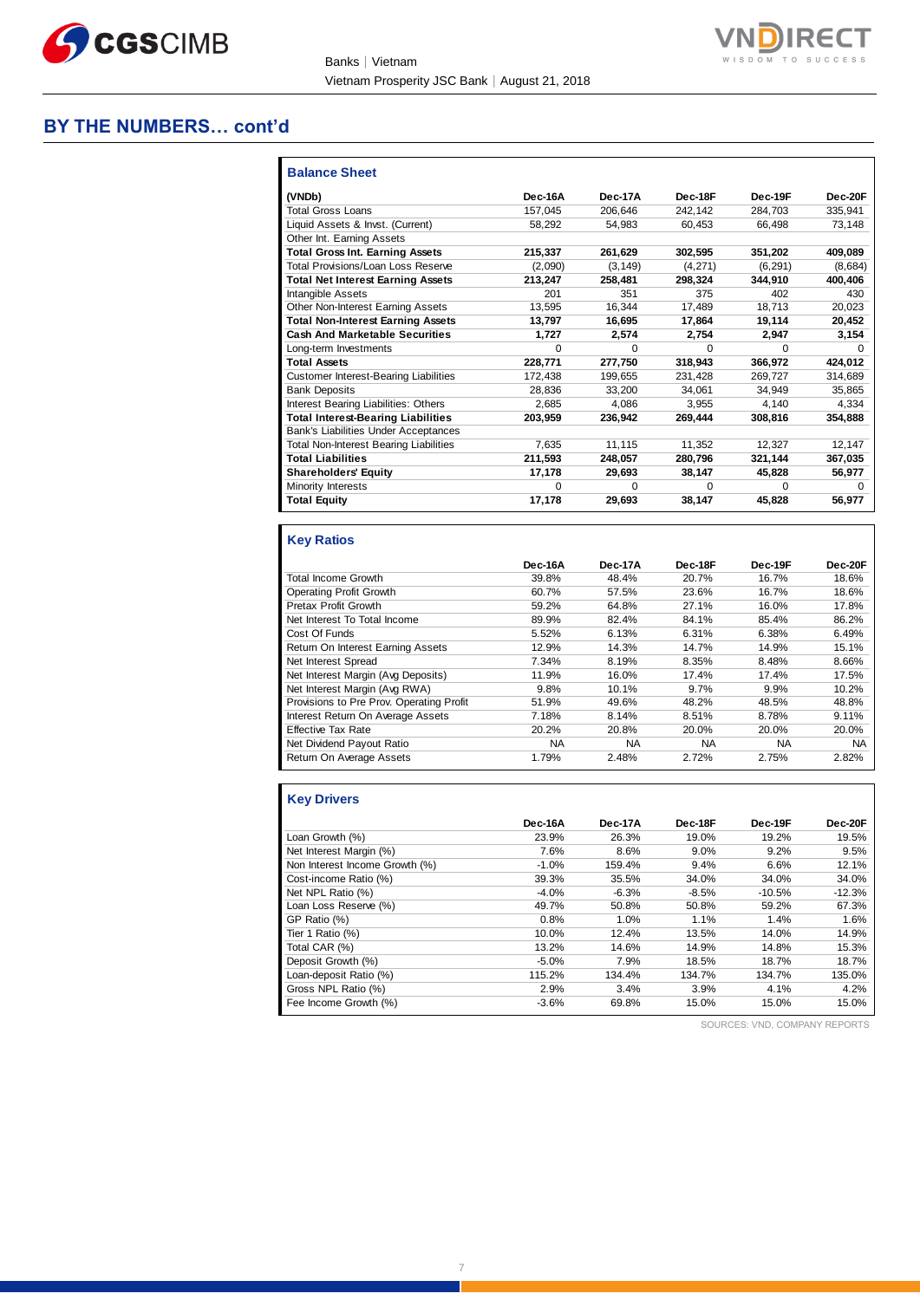

Banks│Vietnam Vietnam Prosperity JSC Bank│August 21, 2018



#### **BY THE NUMBERS… cont'd**

| <b>Balance Sheet</b>                          |              |              |              |              |          |
|-----------------------------------------------|--------------|--------------|--------------|--------------|----------|
| (VNDb)                                        | Dec-16A      | Dec-17A      | Dec-18F      | Dec-19F      | Dec-20F  |
| <b>Total Gross Loans</b>                      | 157.045      | 206.646      | 242.142      | 284.703      | 335.941  |
| Liquid Assets & Invst. (Current)              | 58.292       | 54.983       | 60.453       | 66.498       | 73.148   |
| Other Int. Earning Assets                     |              |              |              |              |          |
| <b>Total Gross Int. Earning Assets</b>        | 215.337      | 261,629      | 302,595      | 351,202      | 409,089  |
| Total Provisions/Loan Loss Reserve            | (2,090)      | (3, 149)     | (4,271)      | (6, 291)     | (8,684)  |
| <b>Total Net Interest Earning Assets</b>      | 213,247      | 258,481      | 298,324      | 344.910      | 400.406  |
| Intangible Assets                             | 201          | 351          | 375          | 402          | 430      |
| Other Non-Interest Earning Assets             | 13,595       | 16,344       | 17,489       | 18,713       | 20,023   |
| <b>Total Non-Interest Earning Assets</b>      | 13,797       | 16,695       | 17,864       | 19,114       | 20,452   |
| <b>Cash And Marketable Securities</b>         | 1,727        | 2.574        | 2.754        | 2.947        | 3,154    |
| Long-term Investments                         | $\Omega$     | <sup>0</sup> | <sup>0</sup> | <sup>0</sup> | $\Omega$ |
| <b>Total Assets</b>                           | 228,771      | 277,750      | 318,943      | 366,972      | 424,012  |
| <b>Customer Interest-Bearing Liabilities</b>  | 172,438      | 199,655      | 231,428      | 269,727      | 314,689  |
| <b>Bank Deposits</b>                          | 28.836       | 33.200       | 34.061       | 34.949       | 35,865   |
| Interest Bearing Liabilities: Others          | 2.685        | 4.086        | 3.955        | 4.140        | 4,334    |
| <b>Total Interest-Bearing Liabilities</b>     | 203,959      | 236,942      | 269,444      | 308,816      | 354,888  |
| Bank's Liabilities Under Acceptances          |              |              |              |              |          |
| <b>Total Non-Interest Bearing Liabilities</b> | 7.635        | 11,115       | 11.352       | 12.327       | 12,147   |
| <b>Total Liabilities</b>                      | 211,593      | 248,057      | 280,796      | 321,144      | 367,035  |
| <b>Shareholders' Equity</b>                   | 17.178       | 29,693       | 38,147       | 45,828       | 56,977   |
| Minority Interests                            | <sup>0</sup> | <sup>0</sup> | <sup>0</sup> | 0            | 0        |
| <b>Total Equity</b>                           | 17,178       | 29,693       | 38,147       | 45,828       | 56,977   |

### **Key Ratios**

|                                          | Dec-16A   | Dec-17A   | Dec-18F   | Dec-19F   | Dec-20F |
|------------------------------------------|-----------|-----------|-----------|-----------|---------|
| Total Income Growth                      | 39.8%     | 48.4%     | 20.7%     | 16.7%     | 18.6%   |
| <b>Operating Profit Growth</b>           | 60.7%     | 57.5%     | 23.6%     | 16.7%     | 18.6%   |
| Pretax Profit Growth                     | 59.2%     | 64.8%     | 27.1%     | 16.0%     | 17.8%   |
| Net Interest To Total Income             | 89.9%     | 82.4%     | 84.1%     | 85.4%     | 86.2%   |
| Cost Of Funds                            | 5.52%     | 6.13%     | 6.31%     | 6.38%     | 6.49%   |
| Return On Interest Earning Assets        | 12.9%     | 14.3%     | 14.7%     | 14.9%     | 15.1%   |
| Net Interest Spread                      | 7.34%     | 8.19%     | 8.35%     | 8.48%     | 8.66%   |
| Net Interest Margin (Avg Deposits)       | 11.9%     | 16.0%     | 17.4%     | 17.4%     | 17.5%   |
| Net Interest Margin (Avg RWA)            | 9.8%      | 10.1%     | 9.7%      | 9.9%      | 10.2%   |
| Provisions to Pre Prov. Operating Profit | 51.9%     | 49.6%     | 48.2%     | 48.5%     | 48.8%   |
| Interest Return On Average Assets        | 7.18%     | 8.14%     | 8.51%     | 8.78%     | 9.11%   |
| <b>Effective Tax Rate</b>                | 20.2%     | 20.8%     | 20.0%     | 20.0%     | 20.0%   |
| Net Dividend Payout Ratio                | <b>NA</b> | <b>NA</b> | <b>NA</b> | <b>NA</b> | NA      |
| Return On Average Assets                 | 1.79%     | 2.48%     | 2.72%     | 2.75%     | 2.82%   |

# **Key Drivers**

|                                | Dec-16A | Dec-17A | Dec-18F | Dec-19F  | Dec-20F  |
|--------------------------------|---------|---------|---------|----------|----------|
| Loan Growth (%)                | 23.9%   | 26.3%   | 19.0%   | 19.2%    | 19.5%    |
| Net Interest Margin (%)        | 7.6%    | 8.6%    | 9.0%    | 9.2%     | 9.5%     |
| Non Interest Income Growth (%) | $-1.0%$ | 159.4%  | 9.4%    | 6.6%     | 12.1%    |
| Cost-income Ratio (%)          | 39.3%   | 35.5%   | 34.0%   | 34.0%    | 34.0%    |
| Net NPL Ratio (%)              | $-4.0%$ | $-6.3%$ | $-8.5%$ | $-10.5%$ | $-12.3%$ |
| Loan Loss Reserve (%)          | 49.7%   | 50.8%   | 50.8%   | 59.2%    | 67.3%    |
| GP Ratio (%)                   | 0.8%    | 1.0%    | 1.1%    | 1.4%     | 1.6%     |
| Tier 1 Ratio (%)               | 10.0%   | 12.4%   | 13.5%   | 14.0%    | 14.9%    |
| Total CAR (%)                  | 13.2%   | 14.6%   | 14.9%   | 14.8%    | 15.3%    |
| Deposit Growth (%)             | $-5.0%$ | 7.9%    | 18.5%   | 18.7%    | 18.7%    |
| Loan-deposit Ratio (%)         | 115.2%  | 134.4%  | 134.7%  | 134.7%   | 135.0%   |
| Gross NPL Ratio (%)            | 2.9%    | 3.4%    | 3.9%    | 4.1%     | 4.2%     |
| Fee Income Growth (%)          | $-3.6%$ | 69.8%   | 15.0%   | 15.0%    | 15.0%    |

SOURCES: VND, COMPANY REPORTS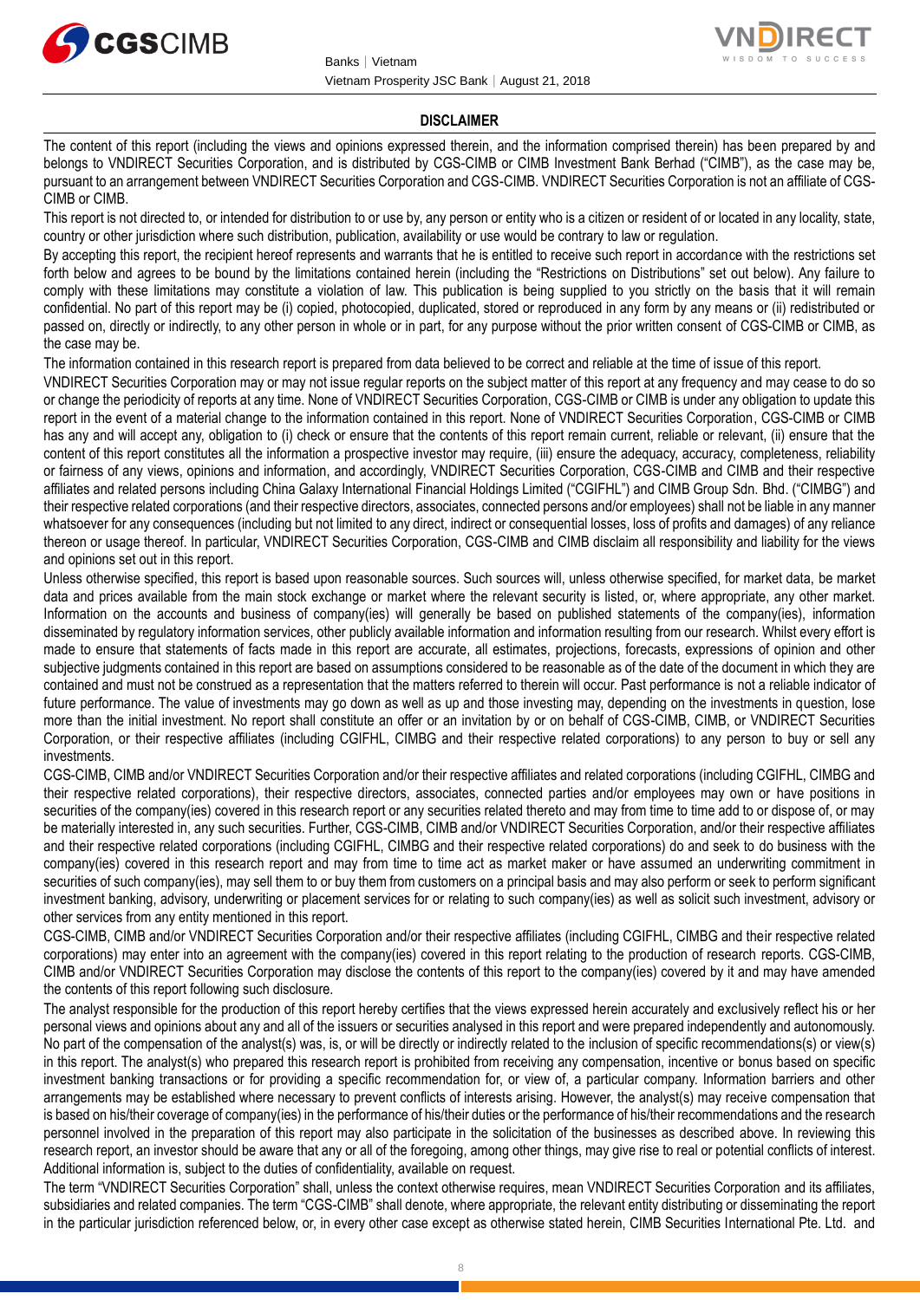



#### **DISCLAIMER**

The content of this report (including the views and opinions expressed therein, and the information comprised therein) has been prepared by and belongs to VNDIRECT Securities Corporation, and is distributed by CGS-CIMB or CIMB Investment Bank Berhad ("CIMB"), as the case may be, pursuant to an arrangement between VNDIRECT Securities Corporation and CGS-CIMB. VNDIRECT Securities Corporation is not an affiliate of CGS-CIMB or CIMB.

This report is not directed to, or intended for distribution to or use by, any person or entity who is a citizen or resident of or located in any locality, state, country or other jurisdiction where such distribution, publication, availability or use would be contrary to law or regulation.

By accepting this report, the recipient hereof represents and warrants that he is entitled to receive such report in accordance with the restrictions set forth below and agrees to be bound by the limitations contained herein (including the "Restrictions on Distributions" set out below). Any failure to comply with these limitations may constitute a violation of law. This publication is being supplied to you strictly on the basis that it will remain confidential. No part of this report may be (i) copied, photocopied, duplicated, stored or reproduced in any form by any means or (ii) redistributed or passed on, directly or indirectly, to any other person in whole or in part, for any purpose without the prior written consent of CGS-CIMB or CIMB, as the case may be.

The information contained in this research report is prepared from data believed to be correct and reliable at the time of issue of this report.

VNDIRECT Securities Corporation may or may not issue regular reports on the subject matter of this report at any frequency and may cease to do so or change the periodicity of reports at any time. None of VNDIRECT Securities Corporation, CGS-CIMB or CIMB is under any obligation to update this report in the event of a material change to the information contained in this report. None of VNDIRECT Securities Corporation, CGS-CIMB or CIMB has any and will accept any, obligation to (i) check or ensure that the contents of this report remain current, reliable or relevant, (ii) ensure that the content of this report constitutes all the information a prospective investor may require, (iii) ensure the adequacy, accuracy, completeness, reliability or fairness of any views, opinions and information, and accordingly, VNDIRECT Securities Corporation, CGS-CIMB and CIMB and their respective affiliates and related persons including China Galaxy International Financial Holdings Limited ("CGIFHL") and CIMB Group Sdn. Bhd. ("CIMBG") and their respective related corporations (and their respective directors, associates, connected persons and/or employees) shall not be liable in any manner whatsoever for any consequences (including but not limited to any direct, indirect or consequential losses, loss of profits and damages) of any reliance thereon or usage thereof. In particular, VNDIRECT Securities Corporation, CGS-CIMB and CIMB disclaim all responsibility and liability for the views and opinions set out in this report.

Unless otherwise specified, this report is based upon reasonable sources. Such sources will, unless otherwise specified, for market data, be market data and prices available from the main stock exchange or market where the relevant security is listed, or, where appropriate, any other market. Information on the accounts and business of company(ies) will generally be based on published statements of the company(ies), information disseminated by regulatory information services, other publicly available information and information resulting from our research. Whilst every effort is made to ensure that statements of facts made in this report are accurate, all estimates, projections, forecasts, expressions of opinion and other subjective judgments contained in this report are based on assumptions considered to be reasonable as of the date of the document in which they are contained and must not be construed as a representation that the matters referred to therein will occur. Past performance is not a reliable indicator of future performance. The value of investments may go down as well as up and those investing may, depending on the investments in question, lose more than the initial investment. No report shall constitute an offer or an invitation by or on behalf of CGS-CIMB, CIMB, or VNDIRECT Securities Corporation, or their respective affiliates (including CGIFHL, CIMBG and their respective related corporations) to any person to buy or sell any investments.

CGS-CIMB, CIMB and/or VNDIRECT Securities Corporation and/or their respective affiliates and related corporations (including CGIFHL, CIMBG and their respective related corporations), their respective directors, associates, connected parties and/or employees may own or have positions in securities of the company(ies) covered in this research report or any securities related thereto and may from time to time add to or dispose of, or may be materially interested in, any such securities. Further, CGS-CIMB, CIMB and/or VNDIRECT Securities Corporation, and/or their respective affiliates and their respective related corporations (including CGIFHL, CIMBG and their respective related corporations) do and seek to do business with the company(ies) covered in this research report and may from time to time act as market maker or have assumed an underwriting commitment in securities of such company(ies), may sell them to or buy them from customers on a principal basis and may also perform or seek to perform significant investment banking, advisory, underwriting or placement services for or relating to such company(ies) as well as solicit such investment, advisory or other services from any entity mentioned in this report.

CGS-CIMB, CIMB and/or VNDIRECT Securities Corporation and/or their respective affiliates (including CGIFHL, CIMBG and their respective related corporations) may enter into an agreement with the company(ies) covered in this report relating to the production of research reports. CGS-CIMB, CIMB and/or VNDIRECT Securities Corporation may disclose the contents of this report to the company(ies) covered by it and may have amended the contents of this report following such disclosure.

The analyst responsible for the production of this report hereby certifies that the views expressed herein accurately and exclusively reflect his or her personal views and opinions about any and all of the issuers or securities analysed in this report and were prepared independently and autonomously. No part of the compensation of the analyst(s) was, is, or will be directly or indirectly related to the inclusion of specific recommendations(s) or view(s) in this report. The analyst(s) who prepared this research report is prohibited from receiving any compensation, incentive or bonus based on specific investment banking transactions or for providing a specific recommendation for, or view of, a particular company. Information barriers and other arrangements may be established where necessary to prevent conflicts of interests arising. However, the analyst(s) may receive compensation that is based on his/their coverage of company(ies) in the performance of his/their duties or the performance of his/their recommendations and the research personnel involved in the preparation of this report may also participate in the solicitation of the businesses as described above. In reviewing this research report, an investor should be aware that any or all of the foregoing, among other things, may give rise to real or potential conflicts of interest. Additional information is, subject to the duties of confidentiality, available on request.

The term "VNDIRECT Securities Corporation" shall, unless the context otherwise requires, mean VNDIRECT Securities Corporation and its affiliates, subsidiaries and related companies. The term "CGS-CIMB" shall denote, where appropriate, the relevant entity distributing or disseminating the report in the particular jurisdiction referenced below, or, in every other case except as otherwise stated herein, CIMB Securities International Pte. Ltd. and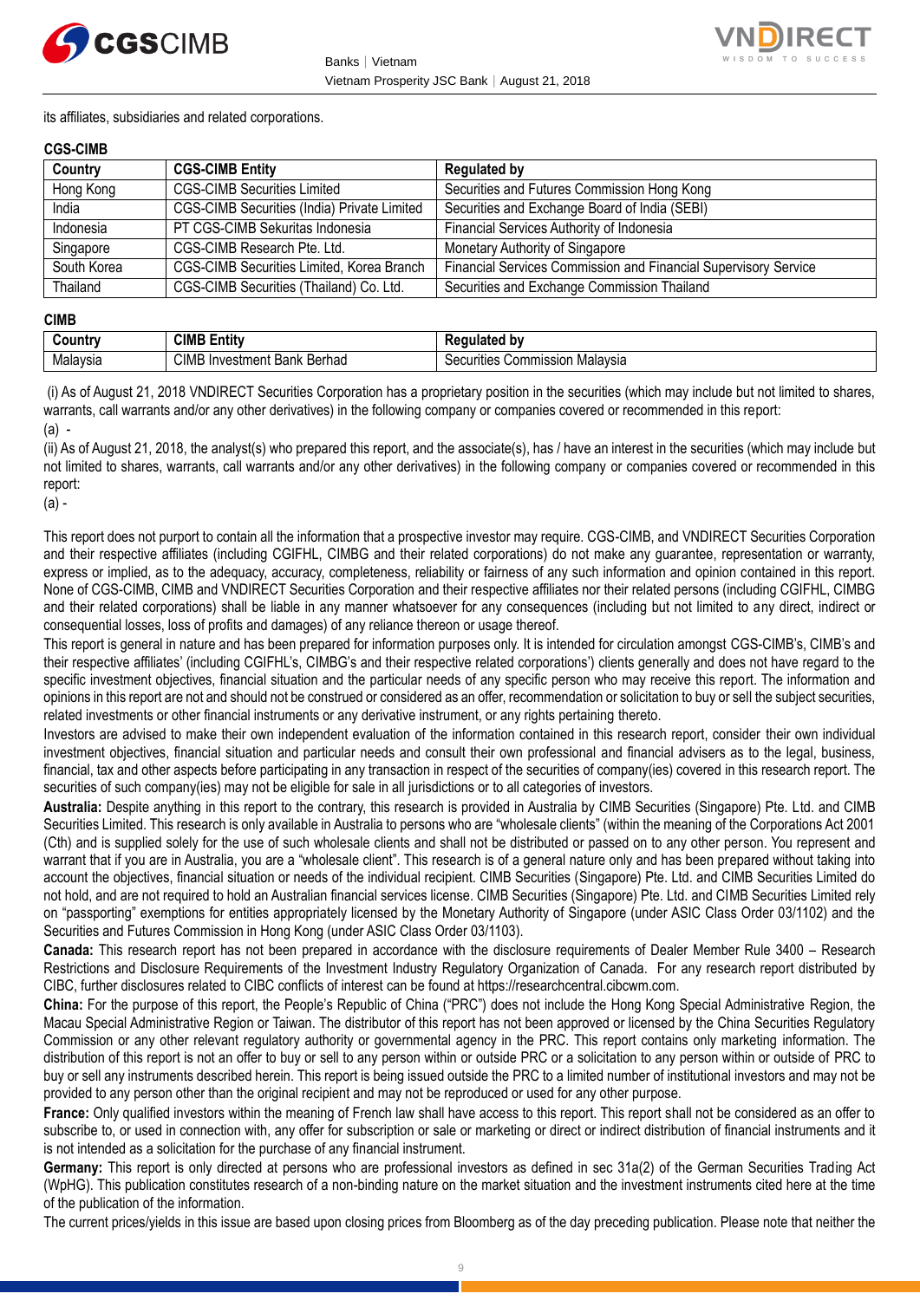



its affiliates, subsidiaries and related corporations.

#### **CGS-CIMB**

| Country     | <b>CGS-CIMB Entity</b>                      | <b>Regulated by</b>                                             |
|-------------|---------------------------------------------|-----------------------------------------------------------------|
| Hong Kong   | <b>CGS-CIMB Securities Limited</b>          | Securities and Futures Commission Hong Kong                     |
| India       | CGS-CIMB Securities (India) Private Limited | Securities and Exchange Board of India (SEBI)                   |
| Indonesia   | PT CGS-CIMB Sekuritas Indonesia             | Financial Services Authority of Indonesia                       |
| Singapore   | CGS-CIMB Research Pte. Ltd.                 | Monetary Authority of Singapore                                 |
| South Korea | CGS-CIMB Securities Limited, Korea Branch   | Financial Services Commission and Financial Supervisory Service |
| Thailand    | CGS-CIMB Securities (Thailand) Co. Ltd.     | Securities and Exchange Commission Thailand                     |

#### **CIMB**

| untry    | <b>CIMB</b><br>.<br>Entity                    | ated bv                                                                           |
|----------|-----------------------------------------------|-----------------------------------------------------------------------------------|
| Malaysia | <b>CIMB</b><br>∶Berhad<br>Bank<br>√Investment | ;ommission<br>. Malavsır<br>ïties<br>ឹ<br><u>ж.</u><br>\ ,\ ,\        <br>וסוכי ו |

(i) As of August 21, 2018 VNDIRECT Securities Corporation has a proprietary position in the securities (which may include but not limited to shares, warrants, call warrants and/or any other derivatives) in the following company or companies covered or recommended in this report:  $(a)$  -

(ii) As of August 21, 2018, the analyst(s) who prepared this report, and the associate(s), has / have an interest in the securities (which may include but not limited to shares, warrants, call warrants and/or any other derivatives) in the following company or companies covered or recommended in this report:

(a) -

This report does not purport to contain all the information that a prospective investor may require. CGS-CIMB, and VNDIRECT Securities Corporation and their respective affiliates (including CGIFHL, CIMBG and their related corporations) do not make any guarantee, representation or warranty, express or implied, as to the adequacy, accuracy, completeness, reliability or fairness of any such information and opinion contained in this report. None of CGS-CIMB, CIMB and VNDIRECT Securities Corporation and their respective affiliates nor their related persons (including CGIFHL, CIMBG and their related corporations) shall be liable in any manner whatsoever for any consequences (including but not limited to any direct, indirect or consequential losses, loss of profits and damages) of any reliance thereon or usage thereof.

This report is general in nature and has been prepared for information purposes only. It is intended for circulation amongst CGS-CIMB's, CIMB's and their respective affiliates' (including CGIFHL's, CIMBG's and their respective related corporations') clients generally and does not have regard to the specific investment objectives, financial situation and the particular needs of any specific person who may receive this report. The information and opinions in this report are not and should not be construed or considered as an offer, recommendation or solicitation to buy or sell the subject securities, related investments or other financial instruments or any derivative instrument, or any rights pertaining thereto.

Investors are advised to make their own independent evaluation of the information contained in this research report, consider their own individual investment objectives, financial situation and particular needs and consult their own professional and financial advisers as to the legal, business, financial, tax and other aspects before participating in any transaction in respect of the securities of company(ies) covered in this research report. The securities of such company(ies) may not be eligible for sale in all jurisdictions or to all categories of investors.

**Australia:** Despite anything in this report to the contrary, this research is provided in Australia by CIMB Securities (Singapore) Pte. Ltd. and CIMB Securities Limited. This research is only available in Australia to persons who are "wholesale clients" (within the meaning of the Corporations Act 2001 (Cth) and is supplied solely for the use of such wholesale clients and shall not be distributed or passed on to any other person. You represent and warrant that if you are in Australia, you are a "wholesale client". This research is of a general nature only and has been prepared without taking into account the objectives, financial situation or needs of the individual recipient. CIMB Securities (Singapore) Pte. Ltd. and CIMB Securities Limited do not hold, and are not required to hold an Australian financial services license. CIMB Securities (Singapore) Pte. Ltd. and CIMB Securities Limited rely on "passporting" exemptions for entities appropriately licensed by the Monetary Authority of Singapore (under ASIC Class Order 03/1102) and the Securities and Futures Commission in Hong Kong (under ASIC Class Order 03/1103).

**Canada:** This research report has not been prepared in accordance with the disclosure requirements of Dealer Member Rule 3400 – Research Restrictions and Disclosure Requirements of the Investment Industry Regulatory Organization of Canada. For any research report distributed by CIBC, further disclosures related to CIBC conflicts of interest can be found at https://researchcentral.cibcwm.com.

**China:** For the purpose of this report, the People's Republic of China ("PRC") does not include the Hong Kong Special Administrative Region, the Macau Special Administrative Region or Taiwan. The distributor of this report has not been approved or licensed by the China Securities Regulatory Commission or any other relevant regulatory authority or governmental agency in the PRC. This report contains only marketing information. The distribution of this report is not an offer to buy or sell to any person within or outside PRC or a solicitation to any person within or outside of PRC to buy or sell any instruments described herein. This report is being issued outside the PRC to a limited number of institutional investors and may not be provided to any person other than the original recipient and may not be reproduced or used for any other purpose.

**France:** Only qualified investors within the meaning of French law shall have access to this report. This report shall not be considered as an offer to subscribe to, or used in connection with, any offer for subscription or sale or marketing or direct or indirect distribution of financial instruments and it is not intended as a solicitation for the purchase of any financial instrument.

**Germany:** This report is only directed at persons who are professional investors as defined in sec 31a(2) of the German Securities Trading Act (WpHG). This publication constitutes research of a non-binding nature on the market situation and the investment instruments cited here at the time of the publication of the information.

The current prices/yields in this issue are based upon closing prices from Bloomberg as of the day preceding publication. Please note that neither the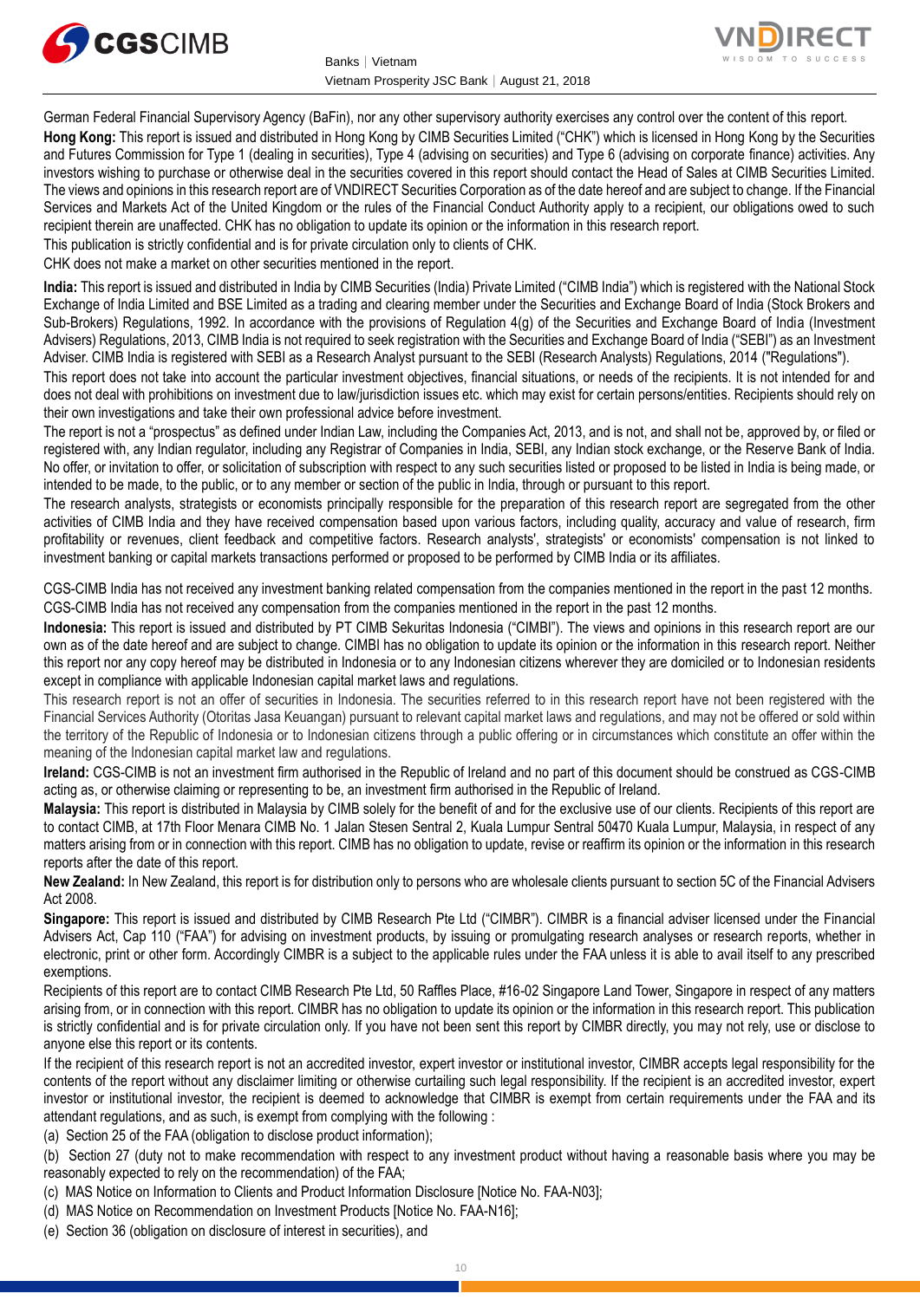



German Federal Financial Supervisory Agency (BaFin), nor any other supervisory authority exercises any control over the content of this report. **Hong Kong:** This report is issued and distributed in Hong Kong by CIMB Securities Limited ("CHK") which is licensed in Hong Kong by the Securities and Futures Commission for Type 1 (dealing in securities), Type 4 (advising on securities) and Type 6 (advising on corporate finance) activities. Any investors wishing to purchase or otherwise deal in the securities covered in this report should contact the Head of Sales at CIMB Securities Limited. The views and opinions in this research report are of VNDIRECT Securities Corporation as of the date hereof and are subject to change. If the Financial Services and Markets Act of the United Kingdom or the rules of the Financial Conduct Authority apply to a recipient, our obligations owed to such recipient therein are unaffected. CHK has no obligation to update its opinion or the information in this research report.

This publication is strictly confidential and is for private circulation only to clients of CHK.

CHK does not make a market on other securities mentioned in the report.

**India:** This report is issued and distributed in India by CIMB Securities (India) Private Limited ("CIMB India") which is registered with the National Stock Exchange of India Limited and BSE Limited as a trading and clearing member under the Securities and Exchange Board of India (Stock Brokers and Sub-Brokers) Regulations, 1992. In accordance with the provisions of Regulation 4(g) of the Securities and Exchange Board of India (Investment Advisers) Regulations, 2013, CIMB India is not required to seek registration with the Securities and Exchange Board of India ("SEBI") as an Investment Adviser. CIMB India is registered with SEBI as a Research Analyst pursuant to the SEBI (Research Analysts) Regulations, 2014 ("Regulations").

This report does not take into account the particular investment objectives, financial situations, or needs of the recipients. It is not intended for and does not deal with prohibitions on investment due to law/jurisdiction issues etc. which may exist for certain persons/entities. Recipients should rely on their own investigations and take their own professional advice before investment.

The report is not a "prospectus" as defined under Indian Law, including the Companies Act, 2013, and is not, and shall not be, approved by, or filed or registered with, any Indian regulator, including any Registrar of Companies in India, SEBI, any Indian stock exchange, or the Reserve Bank of India. No offer, or invitation to offer, or solicitation of subscription with respect to any such securities listed or proposed to be listed in India is being made, or intended to be made, to the public, or to any member or section of the public in India, through or pursuant to this report.

The research analysts, strategists or economists principally responsible for the preparation of this research report are segregated from the other activities of CIMB India and they have received compensation based upon various factors, including quality, accuracy and value of research, firm profitability or revenues, client feedback and competitive factors. Research analysts', strategists' or economists' compensation is not linked to investment banking or capital markets transactions performed or proposed to be performed by CIMB India or its affiliates.

CGS-CIMB India has not received any investment banking related compensation from the companies mentioned in the report in the past 12 months. CGS-CIMB India has not received any compensation from the companies mentioned in the report in the past 12 months.

**Indonesia:** This report is issued and distributed by PT CIMB Sekuritas Indonesia ("CIMBI"). The views and opinions in this research report are our own as of the date hereof and are subject to change. CIMBI has no obligation to update its opinion or the information in this research report. Neither this report nor any copy hereof may be distributed in Indonesia or to any Indonesian citizens wherever they are domiciled or to Indonesian residents except in compliance with applicable Indonesian capital market laws and regulations.

This research report is not an offer of securities in Indonesia. The securities referred to in this research report have not been registered with the Financial Services Authority (Otoritas Jasa Keuangan) pursuant to relevant capital market laws and regulations, and may not be offered or sold within the territory of the Republic of Indonesia or to Indonesian citizens through a public offering or in circumstances which constitute an offer within the meaning of the Indonesian capital market law and regulations.

**Ireland:** CGS-CIMB is not an investment firm authorised in the Republic of Ireland and no part of this document should be construed as CGS-CIMB acting as, or otherwise claiming or representing to be, an investment firm authorised in the Republic of Ireland.

**Malaysia:** This report is distributed in Malaysia by CIMB solely for the benefit of and for the exclusive use of our clients. Recipients of this report are to contact CIMB, at 17th Floor Menara CIMB No. 1 Jalan Stesen Sentral 2, Kuala Lumpur Sentral 50470 Kuala Lumpur, Malaysia, in respect of any matters arising from or in connection with this report. CIMB has no obligation to update, revise or reaffirm its opinion or the information in this research reports after the date of this report.

**New Zealand:** In New Zealand, this report is for distribution only to persons who are wholesale clients pursuant to section 5C of the Financial Advisers Act 2008.

**Singapore:** This report is issued and distributed by CIMB Research Pte Ltd ("CIMBR"). CIMBR is a financial adviser licensed under the Financial Advisers Act, Cap 110 ("FAA") for advising on investment products, by issuing or promulgating research analyses or research reports, whether in electronic, print or other form. Accordingly CIMBR is a subject to the applicable rules under the FAA unless it is able to avail itself to any prescribed exemptions.

Recipients of this report are to contact CIMB Research Pte Ltd, 50 Raffles Place, #16-02 Singapore Land Tower, Singapore in respect of any matters arising from, or in connection with this report. CIMBR has no obligation to update its opinion or the information in this research report. This publication is strictly confidential and is for private circulation only. If you have not been sent this report by CIMBR directly, you may not rely, use or disclose to anyone else this report or its contents.

If the recipient of this research report is not an accredited investor, expert investor or institutional investor, CIMBR accepts legal responsibility for the contents of the report without any disclaimer limiting or otherwise curtailing such legal responsibility. If the recipient is an accredited investor, expert investor or institutional investor, the recipient is deemed to acknowledge that CIMBR is exempt from certain requirements under the FAA and its attendant regulations, and as such, is exempt from complying with the following :

(a) Section 25 of the FAA (obligation to disclose product information);

(b) Section 27 (duty not to make recommendation with respect to any investment product without having a reasonable basis where you may be reasonably expected to rely on the recommendation) of the FAA;

(c) MAS Notice on Information to Clients and Product Information Disclosure [Notice No. FAA-N03];

- (d) MAS Notice on Recommendation on Investment Products [Notice No. FAA-N16];
- (e) Section 36 (obligation on disclosure of interest in securities), and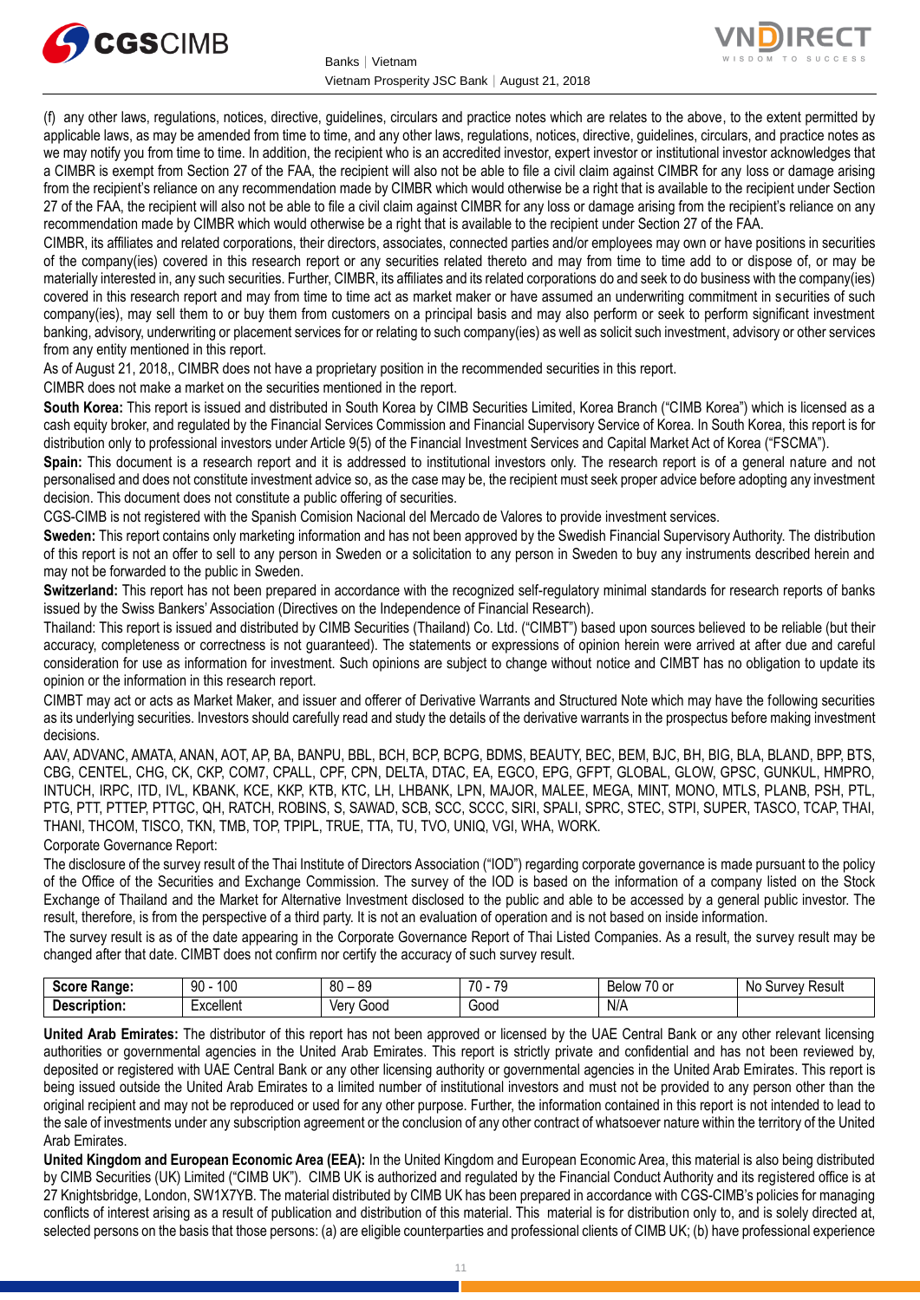



(f) any other laws, regulations, notices, directive, guidelines, circulars and practice notes which are relates to the above, to the extent permitted by applicable laws, as may be amended from time to time, and any other laws, regulations, notices, directive, guidelines, circulars, and practice notes as we may notify you from time to time. In addition, the recipient who is an accredited investor, expert investor or institutional investor acknowledges that a CIMBR is exempt from Section 27 of the FAA, the recipient will also not be able to file a civil claim against CIMBR for any loss or damage arising from the recipient's reliance on any recommendation made by CIMBR which would otherwise be a right that is available to the recipient under Section 27 of the FAA, the recipient will also not be able to file a civil claim against CIMBR for any loss or damage arising from the recipient's reliance on any recommendation made by CIMBR which would otherwise be a right that is available to the recipient under Section 27 of the FAA.

CIMBR, its affiliates and related corporations, their directors, associates, connected parties and/or employees may own or have positions in securities of the company(ies) covered in this research report or any securities related thereto and may from time to time add to or dispose of, or may be materially interested in, any such securities. Further, CIMBR, its affiliates and its related corporations do and seek to do business with the company(ies) covered in this research report and may from time to time act as market maker or have assumed an underwriting commitment in securities of such company(ies), may sell them to or buy them from customers on a principal basis and may also perform or seek to perform significant investment banking, advisory, underwriting or placement services for or relating to such company(ies) as well as solicit such investment, advisory or other services from any entity mentioned in this report.

As of August 21, 2018,, CIMBR does not have a proprietary position in the recommended securities in this report.

CIMBR does not make a market on the securities mentioned in the report.

**South Korea:** This report is issued and distributed in South Korea by CIMB Securities Limited, Korea Branch ("CIMB Korea") which is licensed as a cash equity broker, and regulated by the Financial Services Commission and Financial Supervisory Service of Korea. In South Korea, this report is for distribution only to professional investors under Article 9(5) of the Financial Investment Services and Capital Market Act of Korea ("FSCMA").

**Spain:** This document is a research report and it is addressed to institutional investors only. The research report is of a general nature and not personalised and does not constitute investment advice so, as the case may be, the recipient must seek proper advice before adopting any investment decision. This document does not constitute a public offering of securities.

CGS-CIMB is not registered with the Spanish Comision Nacional del Mercado de Valores to provide investment services.

**Sweden:** This report contains only marketing information and has not been approved by the Swedish Financial Supervisory Authority. The distribution of this report is not an offer to sell to any person in Sweden or a solicitation to any person in Sweden to buy any instruments described herein and may not be forwarded to the public in Sweden.

**Switzerland:** This report has not been prepared in accordance with the recognized self-regulatory minimal standards for research reports of banks issued by the Swiss Bankers' Association (Directives on the Independence of Financial Research).

Thailand: This report is issued and distributed by CIMB Securities (Thailand) Co. Ltd. ("CIMBT") based upon sources believed to be reliable (but their accuracy, completeness or correctness is not guaranteed). The statements or expressions of opinion herein were arrived at after due and careful consideration for use as information for investment. Such opinions are subject to change without notice and CIMBT has no obligation to update its opinion or the information in this research report.

CIMBT may act or acts as Market Maker, and issuer and offerer of Derivative Warrants and Structured Note which may have the following securities as its underlying securities. Investors should carefully read and study the details of the derivative warrants in the prospectus before making investment decisions.

AAV, ADVANC, AMATA, ANAN, AOT, AP, BA, BANPU, BBL, BCH, BCP, BCPG, BDMS, BEAUTY, BEC, BEM, BJC, BH, BIG, BLA, BLAND, BPP, BTS, CBG, CENTEL, CHG, CK, CKP, COM7, CPALL, CPF, CPN, DELTA, DTAC, EA, EGCO, EPG, GFPT, GLOBAL, GLOW, GPSC, GUNKUL, HMPRO, INTUCH, IRPC, ITD, IVL, KBANK, KCE, KKP, KTB, KTC, LH, LHBANK, LPN, MAJOR, MALEE, MEGA, MINT, MONO, MTLS, PLANB, PSH, PTL, PTG, PTT, PTTEP, PTTGC, QH, RATCH, ROBINS, S, SAWAD, SCB, SCC, SCCC, SIRI, SPALI, SPRC, STEC, STPI, SUPER, TASCO, TCAP, THAI, THANI, THCOM, TISCO, TKN, TMB, TOP, TPIPL, TRUE, TTA, TU, TVO, UNIQ, VGI, WHA, WORK.

Corporate Governance Report:

The disclosure of the survey result of the Thai Institute of Directors Association ("IOD") regarding corporate governance is made pursuant to the policy of the Office of the Securities and Exchange Commission. The survey of the IOD is based on the information of a company listed on the Stock Exchange of Thailand and the Market for Alternative Investment disclosed to the public and able to be accessed by a general public investor. The result, therefore, is from the perspective of a third party. It is not an evaluation of operation and is not based on inside information.

The survey result is as of the date appearing in the Corporate Governance Report of Thai Listed Companies. As a result, the survey result may be changed after that date. CIMBT does not confirm nor certify the accuracy of such survey result.

| 0.000<br><b>Range:</b> | 100<br>90 | $\circ$<br>80<br>o.<br>$\overline{\phantom{a}}$ | 70<br>−7∩<br>$\mathbf{u}$<br>. . | $\overline{\phantom{a}}$<br>′0 or<br>Below | Νo<br><b>IIIVAV</b><br>Result |
|------------------------|-----------|-------------------------------------------------|----------------------------------|--------------------------------------------|-------------------------------|
| Description<br>JUON.   | xcellent  | 000خ<br>Ver<br>v                                | ∽<br>Good                        | N/A                                        |                               |

**United Arab Emirates:** The distributor of this report has not been approved or licensed by the UAE Central Bank or any other relevant licensing authorities or governmental agencies in the United Arab Emirates. This report is strictly private and confidential and has not been reviewed by, deposited or registered with UAE Central Bank or any other licensing authority or governmental agencies in the United Arab Emirates. This report is being issued outside the United Arab Emirates to a limited number of institutional investors and must not be provided to any person other than the original recipient and may not be reproduced or used for any other purpose. Further, the information contained in this report is not intended to lead to the sale of investments under any subscription agreement or the conclusion of any other contract of whatsoever nature within the territory of the United Arab Emirates.

**United Kingdom and European Economic Area (EEA):** In the United Kingdom and European Economic Area, this material is also being distributed by CIMB Securities (UK) Limited ("CIMB UK"). CIMB UK is authorized and regulated by the Financial Conduct Authority and its registered office is at 27 Knightsbridge, London, SW1X7YB. The material distributed by CIMB UK has been prepared in accordance with CGS-CIMB's policies for managing conflicts of interest arising as a result of publication and distribution of this material. This material is for distribution only to, and is solely directed at, selected persons on the basis that those persons: (a) are eligible counterparties and professional clients of CIMB UK; (b) have professional experience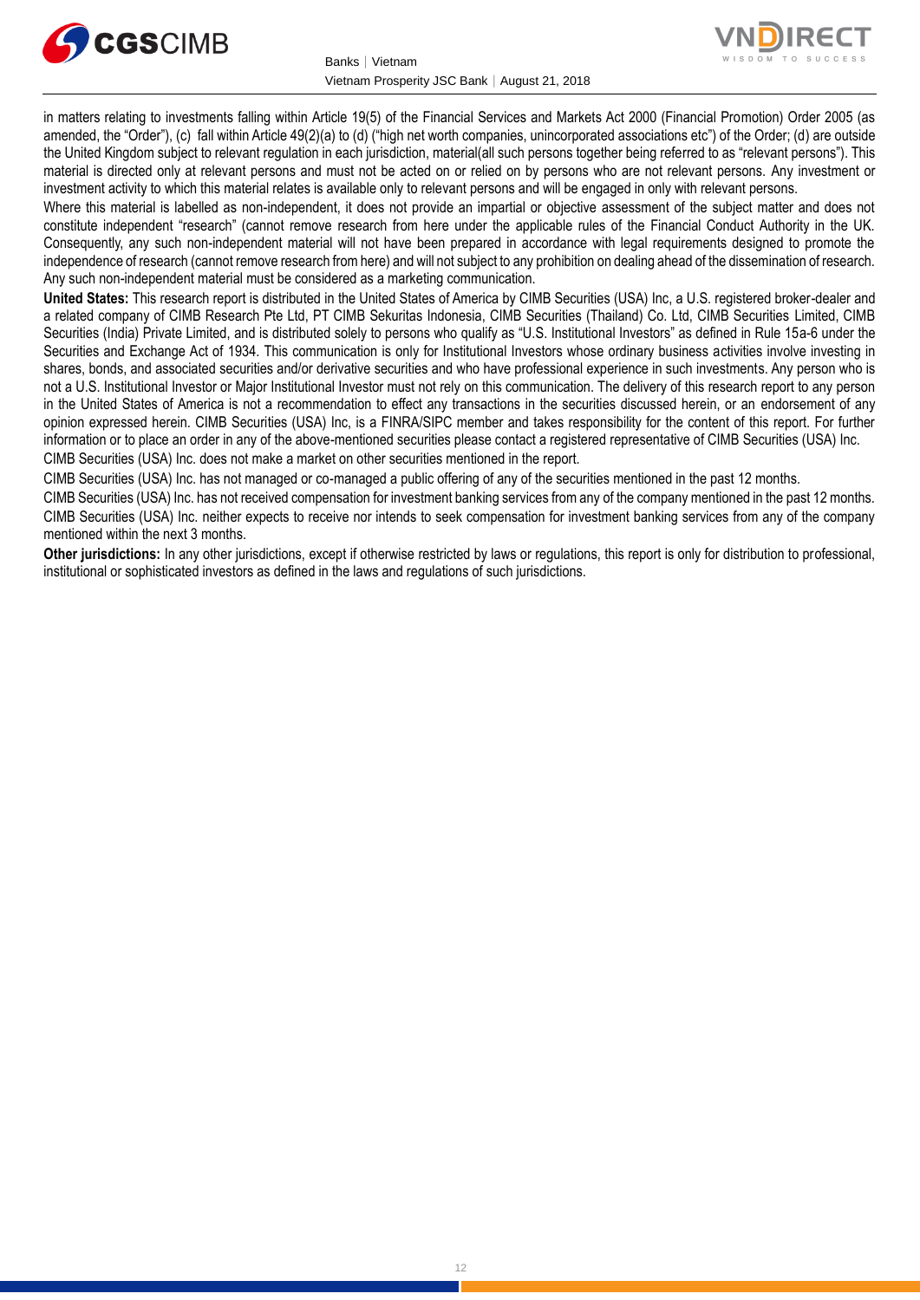



in matters relating to investments falling within Article 19(5) of the Financial Services and Markets Act 2000 (Financial Promotion) Order 2005 (as amended, the "Order"), (c) fall within Article 49(2)(a) to (d) ("high net worth companies, unincorporated associations etc") of the Order; (d) are outside the United Kingdom subject to relevant regulation in each jurisdiction, material(all such persons together being referred to as "relevant persons"). This material is directed only at relevant persons and must not be acted on or relied on by persons who are not relevant persons. Any investment or investment activity to which this material relates is available only to relevant persons and will be engaged in only with relevant persons.

Where this material is labelled as non-independent, it does not provide an impartial or objective assessment of the subject matter and does not constitute independent "research" (cannot remove research from here under the applicable rules of the Financial Conduct Authority in the UK. Consequently, any such non-independent material will not have been prepared in accordance with legal requirements designed to promote the independence of research (cannot remove research from here) and will not subject to any prohibition on dealing ahead of the dissemination of research. Any such non-independent material must be considered as a marketing communication.

**United States:** This research report is distributed in the United States of America by CIMB Securities (USA) Inc, a U.S. registered broker-dealer and a related company of CIMB Research Pte Ltd, PT CIMB Sekuritas Indonesia, CIMB Securities (Thailand) Co. Ltd, CIMB Securities Limited, CIMB Securities (India) Private Limited, and is distributed solely to persons who qualify as "U.S. Institutional Investors" as defined in Rule 15a-6 under the Securities and Exchange Act of 1934. This communication is only for Institutional Investors whose ordinary business activities involve investing in shares, bonds, and associated securities and/or derivative securities and who have professional experience in such investments. Any person who is not a U.S. Institutional Investor or Major Institutional Investor must not rely on this communication. The delivery of this research report to any person in the United States of America is not a recommendation to effect any transactions in the securities discussed herein, or an endorsement of any opinion expressed herein. CIMB Securities (USA) Inc, is a FINRA/SIPC member and takes responsibility for the content of this report. For further information or to place an order in any of the above-mentioned securities please contact a registered representative of CIMB Securities (USA) Inc. CIMB Securities (USA) Inc. does not make a market on other securities mentioned in the report.

CIMB Securities (USA) Inc. has not managed or co-managed a public offering of any of the securities mentioned in the past 12 months.

CIMB Securities (USA) Inc. has not received compensation for investment banking services from any of the company mentioned in the past 12 months. CIMB Securities (USA) Inc. neither expects to receive nor intends to seek compensation for investment banking services from any of the company mentioned within the next 3 months.

**Other jurisdictions:** In any other jurisdictions, except if otherwise restricted by laws or regulations, this report is only for distribution to professional, institutional or sophisticated investors as defined in the laws and regulations of such jurisdictions.